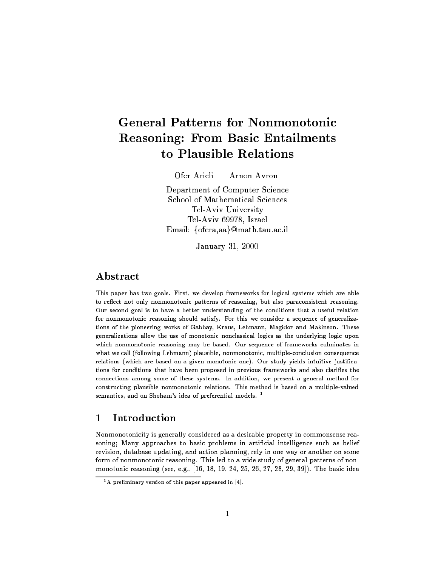## **General Patterns for Nonmonotonic** General Patterns for Nonmonotonic Reasoning: From Basic Entailments to Plausible Relations

Ofer Arieli Arnon Avron

Department of Computer Science School of Mathematical Sciences Tel-Aviv University Tel-Aviv 69978, Israel Email: {ofera,aa}@math.tau.ac.il

January 31, 2000

# Abstract

This paper has two goals. First, we develop frameworks for logical systems which are able to re
ect not only nonmonotonic patterns of reasoning, but also paraconsistent reasoning. Our second goal is to have a better understanding of the conditions that a useful relation for nonmonotonic reasoning should satisfy. For this we consider a sequence of generalizations of the pioneering works of Gabbay, Kraus, Lehmann, Magidor and Makinson. These generalizations allow the use of monotonic nonclassical logics as the underlying logic upon which nonmonotonic reasoning may be based. Our sequence of frameworks culminates in where we call (following manimum) plantified, nonmonotonic, multiple-conclusion conclusion co relations (which are based on a given monotonic one). Our study yields intuitive justications tot contentions that have been proposed through the proposed in the clarical world that the clarical cla connections and the some of these systems. In addition, we can addition to the systems and the some constructing platers in chinese relations in this method is based in this method is a multiple-valued on semantics, and on Shoham's idea of preferential models. <sup>1</sup>

#### 1 1 Introduction

Nonmonotonicity is generally considered as a desirable property in commonsense reasoning; Many approaches to basic problems in articial intelligence such as belief revision, database updating, and action planning, rely in one way or another on some form of nonmonotonic reasoning. This led to a wide study of general patterns of nonmonotonic reasoning (see, e.g., [16, 18, 19, 24, 25, 26, 27, 28, 29, 39]). The basic idea

 $1$ A preliminary version of this paper appeared in [4].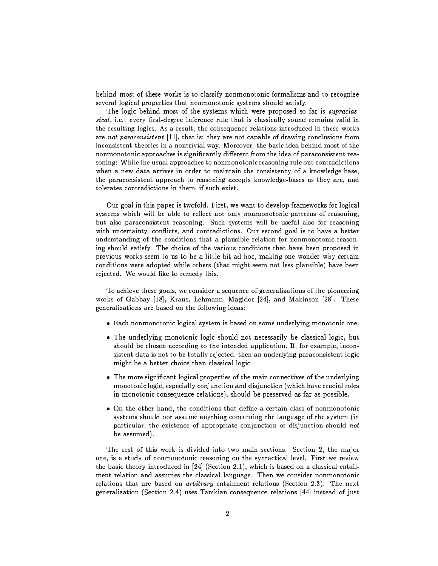behind most of these works is to classify nonmonotonic formalisms and to recognize several logical properties that nonmonotonic systems should satisfy.

The logic behind most of the systems which were proposed so far is supraclas $sical$ , i.e.: every first-degree inference rule that is classically sound remains valid in the resulting logics. As a result, the consequence relations introduced in these works are not paraconsistent [11], that is: they are not capable of drawing conclusions from inconsistent theories in a nontrivial way. Moreover, the basic idea behind most of the nonmonotonic approaches is significantly different from the idea of paraconsistent reasoning: While the usual approaches to nonmonotonic reasoning rule out contradictions when a new data arrives in order to maintain the consistency of a knowledge-base, the paraconsistent approach to reasoning accepts knowledge-bases as they are, and tolerates contradictions in them, if such exist.

Our goal in this paper is twofold. First, we want to develop frameworks for logical systems which will be able to reflect not only nonmonotonic patterns of reasoning, but also paraconsistent reasoning. Such systems will be useful also for reasoning with uncertainty, conflicts, and contradictions. Our second goal is to have a better understanding of the conditions that a plausible relation for nonmonotonic reasoning should satisfy. The choice of the various conditions that have been proposed in previous works seem to us to be a little bit ad-hoc, making one wonder why certain conditions were adopted while others (that might seem not less plausible) have been rejected. We would like to remedy this.

To achieve these goals, we consider a sequence of generalizations of the pioneering works of Gabbay [18], Kraus, Lehmann, Magidor [24], and Makinson [28]. These generalizations are based on the following ideas:

- Each nonmonotonic logical system is based on some underlying monotonic one.
- The underlying monotonic logic should not necessarily be classical logic, but should be chosen according to the intended application. If, for example, inconsistent data is not to be totally rejected, then an underlying paraconsistent logic might be a better choice than classical logic.
- The more signicant logical properties of the main connectives of the underlying monotonic logic, especially conjunction and disjunction (which have crucial roles in monotonic consequence relations), should be preserved as far as possible.
- $\bullet$  On the other hand, the conditions that define a certain class of nonmonotonic systems should not assume anything concerning the language of the system (in particular, the existence of appropriate conjunction or disjunction should not be assumed).

The rest of this work is divided into two main sections. Section 2, the major one, is a study of nonmonotonic reasoning on the syntactical level. First we review the basic theory introduced in [24] (Section 2.1), which is based on a classical entailment relation and assumes the classical language. Then we consider nonmonotonic relations that are based on arbitrary entailment relations (Section 2.3). The next generalization (Section 2.4) uses Tarskian consequence relations [44] instead of just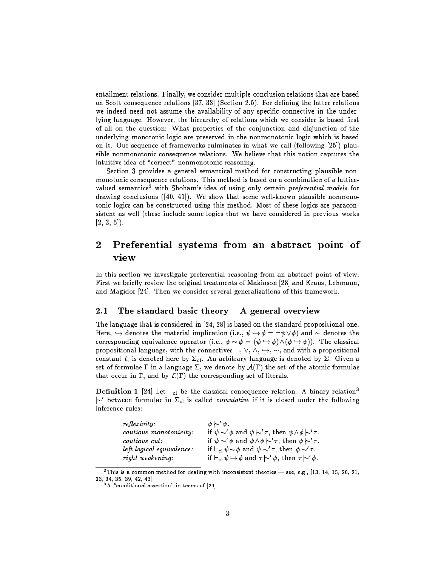entailment relations. Finally, we consider multiple-conclusion relations that are based on Scott consequence relations  $[37, 38]$  (Section 2.5). For defining the latter relations we indeed need not assume the availability of any specic connective in the underlying language. However, the hierarchy of relations which we consider is based first of all on the question: What properties of the conjunction and disjunction of the underlying monotonic logic are preserved in the nonmonotonic logic which is based on it. Our sequence of frameworks culminates in what we call (following [25]) plausible nonmonotonic consequence relations. We believe that this notion captures the intuitive idea of "correct" nonmonotonic reasoning.

Section 3 provides a general semantical method for constructing plausible nonmonotonic consequence relations. This method is based on a combination of a latticevalued semantics<sup>2</sup> with Shoham's idea of using only certain preferential models for drawing conclusions ([40, 41]). We show that some well-known plausible nonmonotonic logics can be constructed using this method. Most of these logics are paraconsistent as well (these include some logics that we have considered in previous works  $[2, 3, 5]$ .

### $\bf{2}$ 2 Preferential systems from an abstract point of view

In this section we investigate preferential reasoning from an abstract point of view. First we briefly review the original treatments of Makinson [28] and Kraus, Lehmann, and Magidor [24]. Then we consider several generalizations of this framework.

## 2.1 The standard basic theory  $-$  A general overview

The language that is considered in [24, 28] is based on the standard propositional one. Here,  $\hookrightarrow$  denotes the material implication (i.e.,  $\psi \hookrightarrow \phi = \neg \psi \vee \phi$ ) and  $\sim$  denotes the corresponding equivalence operator (i.e.,  $\psi \sim \phi = (\psi \rightarrow \phi) \wedge (\phi \rightarrow \psi)$ ). The classical propositional language, with the connectives  $\neg$ ,  $\nabla$ ,  $\wedge$ ,  $\hookrightarrow$ ,  $\sim$ , and with a propositional constant t, is denoted here by  $\Sigma_{\rm cl}$ . An arbitrary language is denoted by  $\Sigma$ . Given a set of formulae  $\Gamma$  in a language  $\Sigma$ , we denote by  $\mathcal{A}(\Gamma)$  the set of the atomic formulae that occur in  $\Gamma$ , and by  $\mathcal{L}(\Gamma)$  the corresponding set of literals.

**Definition 1** [24] Let  $\vdash_{\text{cl}}$  be the classical consequence relation. A binary relation<sup>s</sup>  $\sim$  between formulae in  $\omega_{\rm cl}$  is called *cumulative* if it is closed under the following inference rules:

| reflexivity.              | $\psi \sim' \psi$ .                                                                                |
|---------------------------|----------------------------------------------------------------------------------------------------|
| cautious monotonicity.    | if $\psi \sim' \phi$ and $\psi \sim' \tau$ , then $\psi \wedge \phi \sim' \tau$ .                  |
| cautious cut.             | if $\psi \sim' \phi$ and $\psi \wedge \phi \sim' \tau$ , then $\psi \sim' \tau$ .                  |
| left logical equivalence: | if $\vdash_{\text{cl}} \psi \sim \phi$ and $\psi \sim' \tau$ , then $\phi \sim' \tau$ .            |
| right weakening:          | if $\vdash_{\text{cl}} \psi \hookrightarrow \phi$ and $\tau \sim' \psi$ , then $\tau \sim' \phi$ . |

<sup>&</sup>lt;sup>2</sup>This is a common method for dealing with inconsistent theories - see, e.g., [13, 14, 15, 20, 21, 23, 34, 35, 39, 42, 43].

 $3A$  "conditional assertion" in terms of [24].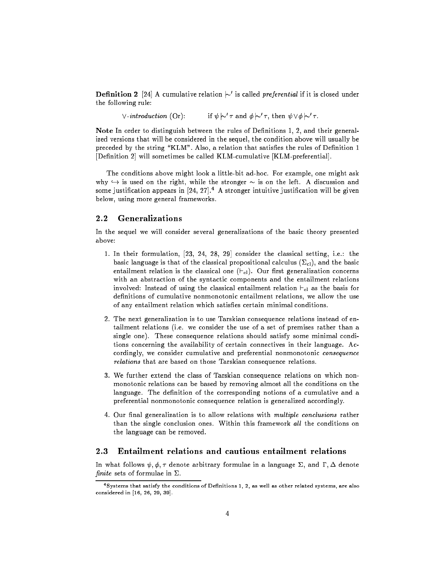**Definition** 2 [24] A cumulative relation  $\sim$  is called *preferential* if it is closed under the following rule:

 $\vee$ -introduction (Or):  $\tau$  and  $\varphi \sim \tau$ , then  $\psi \lor \varphi \sim \tau$ .

Note In order to distinguish between the rules of Definitions 1, 2, and their generalized versions that will be considered in the sequel, the condition above will usually be preceded by the string "KLM". Also, a relation that satisfies the rules of Definition 1 [Definition 2] will sometimes be called KLM-cumulative [KLM-preferential].

The conditions above might look a little-bit ad-hoc. For example, one might ask why  $\hookrightarrow$  is used on the right, while the stronger  $\sim$  is on the left. A discussion and some justification appears in  $[24, 27]$ .<sup>4</sup> A stronger intuitive justification will be given below, using more general frameworks.

#### Generalizations  $2.2$

In the sequel we will consider several generalizations of the basic theory presented above:

- 1. In their formulation, [23, 24, 28, 29] consider the classical setting, i.e.: the basic language is that of the classical propositional calculus  $(\Sigma_c)$ , and the basic entailment relation is the classical one  $(\vdash_{cl})$ . Our first generalization concerns with an abstraction of the syntactic components and the entailment relations involved: Instead of using the classical entails for using the basis for  $c_1$ definitions of cumulative nonmonotonic entailment relations, we allow the use of any entailment relation which satises certain minimal conditions.
- 2. The next generalization is to use Tarskian consequence relations instead of entailment relations (i.e. we consider the use of a set of premises rather than a single one). These consequence relations should satisfy some minimal conditions concerning the availability of certain connectives in their language. Accordingly, we consider cumulative and preferential nonmonotonic consequence relations that are based on those Tarskian consequence relations.
- 3. We further extend the class of Tarskian consequence relations on which nonmonotonic relations can be based by removing almost all the conditions on the language. The definition of the corresponding notions of a cumulative and a preferential nonmonotonic consequence relation is generalized accordingly.
- 4. Our final generalization is to allow relations with *multiple conclusions* rather than the single conclusion ones. Within this framework all the conditions on the language can be removed.

## 2.3 Entailment relations and cautious entailment relations

In what follows  $\psi$ ,  $\phi$ ,  $\tau$  denote arbitrary formulae in a language  $\Sigma$ , and  $\Gamma$ ,  $\Delta$  denote finite sets of formulae in  $\Sigma$ .

<sup>4</sup> Systems that satisfy the conditions of Denitions 1, 2, as well as other related systems, are also considered in [16, 26, 29, 39].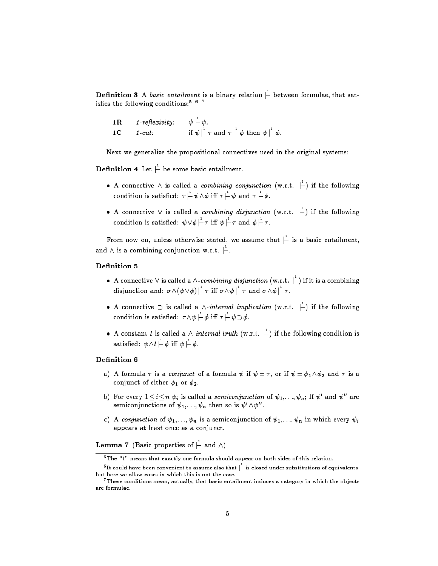**Definition 3** A basic entailment is a binary relation  $\vdash$  between formulae, that satisfies the following conditions:<sup>5 6 7</sup>

1R 1-reflexivity: 
$$
\psi \mid \psi
$$
.  
1C 1-cut: if  $\psi \mid \tau$  and  $\tau \mid \psi$  then  $\psi \mid \psi$ .

Next we generalize the propositional connectives used in the original systems:

 ${\bf D}$ efinition 4 Let  $|-$  be some basic entailment.

- A connective  $\wedge$  is called a *combining conjunction* (w.r.t.  $\vdash$ ) if the following condition is satisfied:  $\tau \models \psi \land \phi$  iff  $\tau \models \psi$  and  $\tau \models \phi$ .
- A connective  $\vee$  is called a *combining disjunction* (w.r.t.  $\vdash$ ) if the following condition is satisfied:  $\psi \vee \phi \models \tau$  iff  $\psi \models \tau$  and  $\phi \models \tau$ .

From now on, unless otherwise stated, we assume that  $\vdash$  is a basic entailment, and  $\wedge$  is a combining conjunction w.r.t.  $\vdash$ .

### Definition 5

- A connective  $\vee$  is called a  $\wedge$ -combining disjunction (w.r.t.  $\vdash$ ) if it is a combining disjunction and:  $\sigma \wedge (\psi \vee \phi) \models \tau$  iff  $\sigma \wedge \psi \models \tau$  and  $\sigma \wedge \phi \models \tau$ .
- A connective  $\supset$  is called a  $\wedge$ -internal implication (w.r.t.  $\vdash$ ) if the following condition is satisfied:  $\tau \wedge \psi$   $\vdash$   $\phi$  iff  $\tau \vdash \psi \supset \phi$ .
- A constant t is called a  $\wedge$ -internal truth (w.r.t.  $\vert \rangle$ ) if the following condition is satisfied:  $\psi \!\wedge\! t \!\vdash\! \phi$  iff  $\psi \!\vdash\! \phi$ .

## Definition 6

- a) a formula is a conjunct of a formula if  $\tau$  ,  $\tau$  , or  $\tau$  ,  $\tau$  ,  $\tau$   $\mu$  and  $\tau$  and  $\tau$ conjunct of either 1 or 2.
- b) For every  $1 \leq i \leq n$   $\psi_i$  is called a semiconjunction of  $\psi_1, \ldots, \psi_n$ ; if  $\psi$  and  $\psi$  are semiconjunctions of  $\psi_1, \ldots, \psi_n$  then so is  $\psi \wedge \psi$  .
- c) A conjunction of  $\psi_1,\ldots,\psi_n$  is a semiconjunction of  $\psi_1,\ldots,\psi_n$  in which every  $\psi_i$ appears at least once as a conjunct.

**Lemma 7** (Basic properties of  $\vdash$  and  $\wedge$ )

 $5$ The "1" means that exactly one formula should appear on both sides of this relation.

 $^6$ It could have been convenient to assume also that  $\vdash$  is closed under substitutions of equivalents, but here we allow cases in which this is not the case.

 $7$ These conditions mean, actually, that basic entailment induces a category in which the objects are formulae.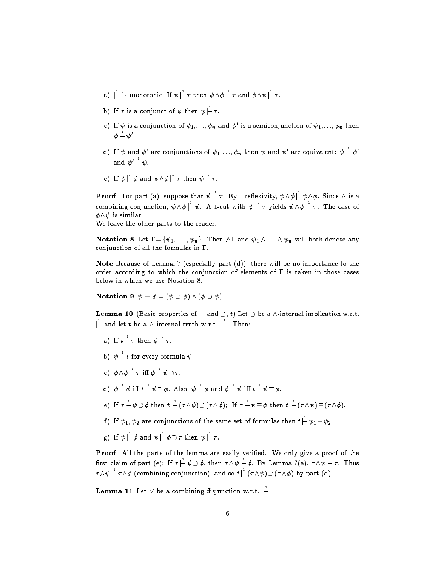- a) is monotonic: If  $\psi$   $\tau$  then  $\psi \wedge \phi$   $\tau$  and  $\phi \wedge \psi$   $\tau$ .
- b) If  $\tau$  is a conjunct of  $\psi$  then  $\psi | -\tau$ .
- c) If  $\psi$  is a conjunction of  $\psi_1,\ldots,\psi_n$  and  $\psi$  is a semiconjunction of  $\psi_1,\ldots,\psi_n$  then  $\psi$   $\vdash$   $\psi'$  .
- d) If  $\psi$  and  $\psi'$  are conjunctions of  $\psi_1,\ldots,\psi_n$  then  $\psi$  and  $\psi'$  are equivalent:  $\psi \vdash \psi'$ and  $\psi' \models \psi$ .
- e) If  $\psi$   $\vdash$   $\phi$  and  $\psi \wedge \phi$   $\vdash$   $\tau$  then  $\psi$   $\vdash$   $\tau$ .

**Proof** For part (a), suppose that  $\psi$   $\vdash$   $\tau$ . By 1-reflexivity,  $\psi \wedge \phi$   $\vdash \psi \wedge \phi$ . Since  $\wedge$  is a combining conjunction,  $\psi \wedge \phi \models \psi$ . A 1-cut with  $\psi \models \tau$  yields  $\psi \wedge \phi \models \tau$ . The case of  $\phi \wedge \psi$  is similar.

We leave the other parts to the reader.

**Notation 8** Let  $\Gamma = {\psi_1, \ldots, \psi_n}$ . Then  $\land \Gamma$  and  $\psi_1 \land \ldots \land \psi_n$  will both denote any conjunction of all the formulae in  $\Gamma$ .

Note Because of Lemma 7 (especially part (d)), there will be no importance to the order according to which the conjunction of elements of  $\Gamma$  is taken in those cases below in which we use Notation 8.

Notation 9  $\psi \equiv \phi = (\psi \supset \phi) \wedge (\phi \supset \psi).$ 

**Lemma 10** (Basic properties of  $\vdash$  and  $\supset$ , t) Let  $\supset$  be a  $\wedge$ -internal implication w.r.t.  $\left| -\right|$  and let t be a  $\wedge$ -internal truth w.r.t.  $\left| -\right|$ . Then:

- a) If  $t \mid -\tau$  then  $\phi \mid -\tau$ .
- b)  $\psi$   $\vdash t$  for every formula  $\psi$ .
- c)  $\psi \wedge \phi \vdash \tau$  iff  $\phi \vdash \psi \supset \tau$ .
- d)  $\psi \models \phi$  iff  $t \models \psi \supset \phi$ . Also,  $\psi \models \phi$  and  $\phi \models \psi$  iff  $t \models \psi \equiv \phi$ .
- e) If  $\tau \mapsto \psi \supset \phi$  then  $t \models (\tau \wedge \psi) \supset (\tau \wedge \phi)$ ; If  $\tau \models \psi \equiv \phi$  then  $t \models (\tau \wedge \psi) \equiv (\tau \wedge \phi)$ .
- f) If  $\psi_1, \psi_2$  are conjunctions of the same set of formulae then  $t-\psi_1 \equiv \psi_2$ .
- g) If  $\psi$   $\vdash$   $\phi$  and  $\psi$   $\vdash$   $\phi$   $\supset$   $\tau$  then  $\psi$   $\vdash$   $\tau$ .

**Proof** All the parts of the lemma are easily verified. We only give a proof of the first claim of part (e): If  $\tau \vdash \psi \supset \phi$ , then  $\tau \wedge \psi \vdash \phi$ . By Lemma 7(a),  $\tau \wedge \psi \vdash \tau$ . Thus  $\tau \wedge \psi$   $\vdash \tau \wedge \phi$  (combining conjunction), and so  $t \vdash (\tau \wedge \psi) \supset (\tau \wedge \phi)$  by part (d).

**Lemma 11** Let  $\vee$  be a combining disjunction w.r.t.  $\vdash$ .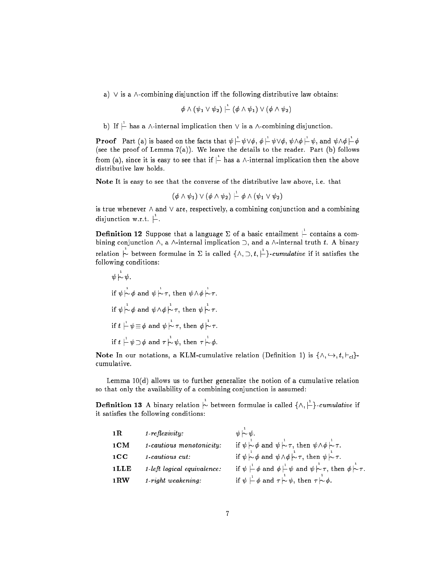a)  $\vee$  is a  $\wedge$ -combining disjunction iff the following distributive law obtains:

$$
\phi\wedge(\psi_1\vee\psi_2)\mid\dot{\neg}(\phi\wedge\psi_1)\vee(\phi\wedge\psi_2)
$$

b) If  $\vdash$  has a  $\wedge$ -internal implication then  $\vee$  is a  $\wedge$ -combining disjunction.

**Proof** Part (a) is based on the facts that  $\psi \models \psi \lor \phi$ ,  $\phi \models \psi \lor \phi$ ,  $\psi \land \phi \models \psi$ , and  $\psi \land \phi \models \phi$ (see the proof of Lemma 7(a)). We leave the details to the details to the details to the reader. Part (b) follows the readers of  $\mathcal{A}$ from (a), since it is easy to see that if  $\vdash$  has a  $\wedge$ -internal implication then the above distributive law holds.

Note It is easy to see that the converse of the distributive law above, i.e. that

$$
(\phi \wedge \psi_1) \vee (\phi \wedge \psi_2) \vdash \phi \wedge (\psi_1 \vee \psi_2)
$$

is true whenever  $\wedge$  and  $\vee$  are, respectively, a combining conjunction and a combining disjunction w.r.t.  $\vdash$ .

**Definition 12** Suppose that a language  $\Sigma$  of a basic entailment  $\vdash$  contains a combining conjunction ^, a ^-internal implication , and a ^-internal truth t. A binary relation <sup>j</sup>  $\overline{\phantom{0}}$  $\sim$  between formulae in  $\Sigma$  is called  $\{\wedge, \supset, t\}$ . *cumulative* if it satisfies the following conditions:

$$
\psi \stackrel{\perp}{\sim} \psi.
$$
  
if  $\psi \stackrel{\perp}{\sim} \phi$  and  $\psi \stackrel{\perp}{\sim} \tau$ , then  $\psi \wedge \phi \stackrel{\perp}{\sim} \tau$ .  
if  $\psi \stackrel{\perp}{\sim} \phi$  and  $\psi \wedge \phi \stackrel{\perp}{\sim} \tau$ , then  $\psi \stackrel{\perp}{\sim} \tau$ .  
if  $t \stackrel{\perp}{\sim} \psi \equiv \phi$  and  $\psi \stackrel{\perp}{\sim} \tau$ , then  $\phi \stackrel{\perp}{\sim} \tau$ .  
if  $t \stackrel{\perp}{\sim} \psi \supset \phi$  and  $\tau \stackrel{\perp}{\sim} \psi$ , then  $\tau \stackrel{\perp}{\sim} \phi$ .

Note In our notations, a KLM-cumulative relation (Definition 1) is  $\{\wedge, \hookrightarrow, t, \vdash_{\text{cl}}\}$ cumulative.

Lemma 10(d) allows us to further generalize the notion of a cumulative relation so that only the availability of a combining conjunction is assumed:

denotes the nition in the control of the control of the control of the control of the control of the control of  $\sim$  between formulae is called  $\{\land, \models\}$  cumulative if it satisfies the following conditions:

| 1R             | $1$ -reflexivity:           | $\psi \sim \psi$ .                                                                                                       |
|----------------|-----------------------------|--------------------------------------------------------------------------------------------------------------------------|
| $1$ CM         | 1-cautious monotonicity:    | if $\psi \stackrel{1}{\sim} \phi$ and $\psi \stackrel{1}{\sim} \tau$ , then $\psi \wedge \phi \stackrel{1}{\sim} \tau$ . |
| 1 <sub>C</sub> | 1-cautious cut.             | if $\psi \stackrel{1}{\sim} \phi$ and $\psi \wedge \phi \stackrel{1}{\sim} \tau$ , then $\psi \stackrel{1}{\sim} \tau$ . |
| 1LLE           | 1-left logical equivalence: | if $\psi \mid \psi \phi$ and $\phi \mid \psi \phi$ and $\psi \sim \tau$ , then $\phi \sim \tau$ .                        |
| $1$ RW         | $1$ -right weakening:       | if $\psi \mid -\phi$ and $\tau \sim \psi$ , then $\tau \sim \phi$ .                                                      |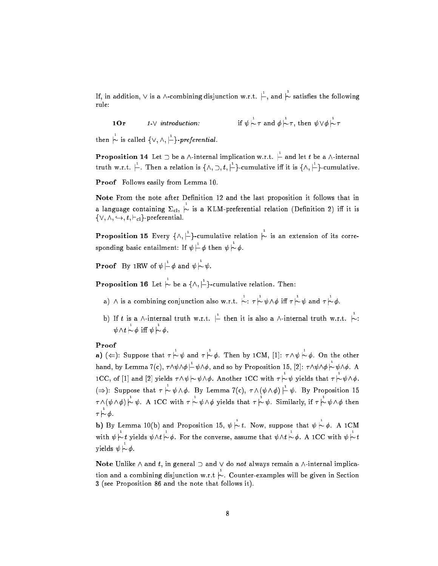If, in addition,  $\lor$  is a  $\land$ -combining disjunction w.r.t.  $\models$ , and  $\models$  satises the following rule:

1 Or  $1 - \vee$  introduction: . . <del>. . .</del> . . , then \_ <sup>j</sup> 

then in the contract of the contract of the contract of the contract of the contract of the contract of the contract of the contract of the contract of the contract of the contract of the contract of the contract of the co  $\sim$  is called  $\{ \vee, \wedge, \models \}$  preferential.

**Proposition 14** Let  $\supset$  be a  $\wedge$ -internal implication w.r.t.  $\vdash$  and let t be a  $\wedge$ -internal truth w.r.t.  $\vdash$ . Then a relation is  $\{\land, \supset, t\}$  cumulative iff it is  $\{\land, \vdash\}$  cumulative.

Proof Follows easily from Lemma 10.

Note From the note after Definition 12 and the last proposition it follows that in a language containing cl, <sup>j</sup> is a KLM-preferential relation (December 2) in it is  $\sim$  $\{\vee, \wedge, \hookrightarrow, t, \vdash_{\text{cl}}\}$ -preferential.

**Proposition 15** Every  $\{\land, \models\}$ -cumulative relation  $\models$ sponding basic entailment: If  $\psi|-\phi$  then  $\psi|$ .

<code>Proof By 1RW</code> of  $\psi$   $\vdash$   $\phi$  and  $\psi$   $\vdash$ .

Proposition 16 Let <sup>j</sup> - $\sim$  be a { $\wedge$ ,  $\vdash$ }-cumulative relation. Then:

- a) is a combining conjunction also w.r.t. just a combined conjunction also w.r.t. just a combined conjunction a  $\overline{\phantom{0}}$ . . . .  $\overline{\phantom{0}}$  ^ i <sup>j</sup> and <sup>j</sup> -.
- b) If t is a  $\wedge$ -internal truth w.r.t.  $\vdash$  then it is also a  $\wedge$ -internal truth w.r.t.  $\downarrow$ -. . . . . i<sup>j</sup> .

## Proof

a) ((): Suppose that <sup>j</sup> and in the second contract of the second contract of the second contract of the second contract of the second contract of the second contract of the second contract of the second contract of the second contract of the seco . Then by  $1-\frac{1}{2}$  is the property of  $\mathcal{F}$  is the property of  $\mathcal{F}$  . On the other hand, by Lemma 7(c),  $\tau \wedge \psi \wedge \phi \models \psi \wedge \phi$ , and so by Proposition 15, [2]:  $\tau \wedge \psi \wedge \phi \models$  $\cdot$ . <del>.</del> . . . . . . 1 C C , of [2] and [2] yields  $\cdots$  ,  $\cdots$  if  $\cdots$   $\cdots$  if  $\cdots$  is another  $\cdots$  if  $\cdots$  yields that <sup>j</sup> -. . . . . . ()): Suppose that <sup>j</sup> - $\sim \psi \wedge \phi$ . By Lemma 7(c),  $\tau \wedge (\psi \wedge \phi) \models \psi$ . By Proposition 15 . . . . . . . . . . A 1CC with <sup>j</sup> ^ yields that <sup>j</sup> . Similarly, if <sup>j</sup> ^ then  $\sim$   $\sim$ .

b) By Lemma 10(b) and Proposition 15,<sup>j</sup> t. Now, suppose that<sup>j</sup> . <del>.</del> . . . . . . .  $\cdots$  with  $\cdots$ <sup>t</sup> yields ^t <sup>j</sup>  $\overline{\phantom{0}}$ . For the converse that  $\mathcal{C}$  is the converse that  $\mathcal{C}$  $\overline{\phantom{0}}$ . A 1CC with j t the second second the second second second second second second second second second second second second second second second second second second second second second second second second second second second second se yields<sup>j</sup> .

Note Unlike  $\wedge$  and t, in general  $\supset$  and  $\vee$  do not always remain a  $\wedge$ -internal implication and a combining disjunction w.r.t <sup>j</sup> . Counter-examples will be given in Section in Section 1. The given in Section 1. The given in Section 1. The given in Section 1. The given in Section 1. The given in Section 1. The given in Section 1. The given in Sectio 3 (see Proposition 86 and the note that follows it).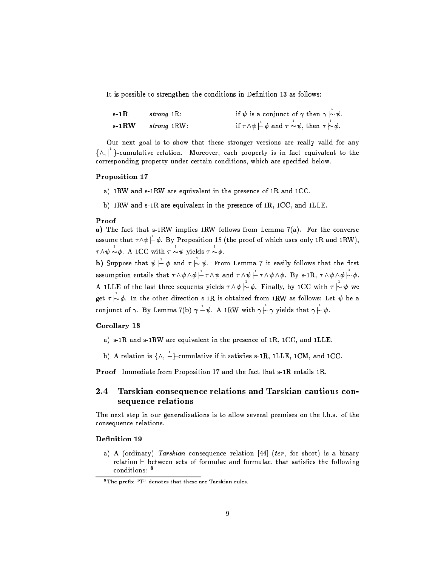It is possible to strengthen the conditions in Definition 13 as follows:

| $s$ 1R  | strong $1R$ :         | if $\psi$ is a conjunct of $\gamma$ then $\gamma \hspace{0.2em}\sim\hspace{-0.9em}\mid\hspace{0.58em} \psi$ . |
|---------|-----------------------|---------------------------------------------------------------------------------------------------------------|
| $s-1RW$ | strong $1\text{RW}$ : | if $\tau \wedge \psi \mid^{\mathbb{1}} \phi$ and $\tau \mid \sim \psi$ , then $\tau \mid^{\mathbb{1}} \phi$ . |

Our next goal is to show that these stronger versions are really valid for any  $\{\wedge, \lnot\}$ -cumulative relation. Moreover, each property is in fact equivalent to the corresponding property under certain conditions, which are specied below.

## Proposition 17

- a) 1RW and s-1RW are equivalent in the presence of 1R and 1CC.
- b) 1RW and s-1R are equivalent in the presence of 1R, 1CC, and 1LLE.

## Proof

a) The fact that s-1RW implies 1RW follows from Lemma 7(a). For the converse assume that  $\tau \wedge \psi$   $\vdash \phi$ . By Proposition 15 (the proof of which uses only 1R and 1RW),  $\ldots$   $\ldots$  $\overline{\phantom{a}}$ . A 1CC with <sup>j</sup>  $\overline{\phantom{a}}$  yields <sup>j</sup>  $\overline{\phantom{a}}$ .

**b**) Suppose that  $\psi \models \phi$  and  $\tau \nmid$ - . From Lemma 7 it easily follows that the rst assumption entails that  $\tau \wedge \psi \wedge \phi \vdash \tau \wedge \psi$  and  $\tau \wedge \psi \vdash \tau \wedge \psi \wedge \phi$ . By s-1R,  $\tau \wedge \psi \wedge \phi \vdash \phi$ . a 11 Let of the last three sequence , the last  $\mathcal{A}$  . Finally, by 1CC with <sup>j</sup> we are the contract of the contract of the contract of the contract of the contract of the contract of the contract of the contract of the contract of the contract of the contract of the contract of the contract of the con  $- - -$  . In the other direction s-1R is obtained from 1RW as follows: Let be a conjunct of  $\gamma$ . By Lemma 7(b)  $\gamma \models \psi$ . A 1RW with  $\gamma \models$  yields that <sup>j</sup> .

## Corollary 18

- a) s-1R and s-1RW are equivalent in the presence of 1R, 1CC, and 1LLE.
- b) A relation is  $\{\wedge, \lvert \cdot \rvert\}$ -cumulative if it satisfies s-1R, 1LLE, 1CM, and 1CC.

Proof Immediate from Proposition 17 and the fact that s-1R entails 1R.

## 2.4 Tarskian consequence relations and Tarskian cautious consequence relations

The next step in our generalizations is to allow several premises on the l.h.s. of the consequence relations.

## Definition 19

a) A (ordinary) Tarskian consequence relation  $[44]$  (ter, for short) is a binary relation  $\vdash$  between sets of formulae and formulae, that satisfies the following conditions: <sup>8</sup>

 ${}^8$ The prefix "T" denotes that these are Tarskian rules.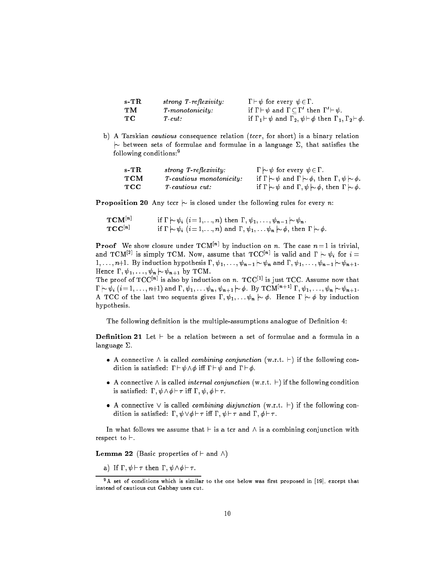| s TR. | strong T-reflexivity. | $\Gamma \vdash \psi$ for every $\psi \in \Gamma$ .                                                       |
|-------|-----------------------|----------------------------------------------------------------------------------------------------------|
| TМ    | T monotonicity:       | if $\Gamma \vdash \psi$ and $\Gamma \subset \Gamma'$ then $\Gamma' \vdash \psi$ .                        |
| ТC    | $T$ cut.              | if $\Gamma_1 \vdash \psi$ and $\Gamma_2$ , $\psi \vdash \phi$ then $\Gamma_1$ , $\Gamma_2 \vdash \phi$ . |

b) A Tarskian *cautious* consequence relation *(tccr, for short)* is a binary relation  $\sim$  between sets of formulae and formulae in a language  $\Sigma$ , that satisfies the following conditions:9

| $\,$ s TR  | strong T-reflexivity:    | $\Gamma \sim \psi$ for every $\psi \in \Gamma$ .                               |
|------------|--------------------------|--------------------------------------------------------------------------------|
| <b>TCM</b> | T cautious monotonicity: | if $\Gamma \sim \psi$ and $\Gamma \sim \phi$ , then $\Gamma, \psi \sim \phi$ . |
| TCC        | <i>T</i> -cautious cut.  | if $\Gamma \sim \psi$ and $\Gamma, \psi \sim \phi$ , then $\Gamma \sim \phi$ . |

**Proposition 20** Any tccr  $\sim$  is closed under the following rules for every n:

| $TCM^{[n]}$ | if $\Gamma \sim \psi_i$ $(i = 1, , n)$ then $\Gamma, \psi_1, , \psi_{n-1} \sim \psi_n$ .                    |
|-------------|-------------------------------------------------------------------------------------------------------------|
| $TCC^{[n]}$ | if $\Gamma \sim \psi_i$ $(i = 1, , n)$ and $\Gamma, \psi_1, , \psi_n \sim \phi$ , then $\Gamma \sim \phi$ . |

**Proof** We show closure under  $I$ CMF by induction on  $n$ . The case  $n=1$  is trivial, and ICM<sup>[2]</sup> is simply TCM. Now, assume that ICC<sup>[2]</sup> is valid and I  $\sim \psi_i$  for  $i =$  $1, \ldots, n+1$ . By induction hypothesis  $\Gamma, \psi_1, \ldots, \psi_{n-1} \rightarrow \psi_n$  and  $\Gamma, \psi_1, \ldots, \psi_{n-1} \rightarrow \psi_{n+1}$ . Hence  $\Gamma$ ,  $\psi_1, \ldots, \psi_n \sim \psi_{n+1}$  by TCM.

The proof of TCC<sup> $n$ </sup> is also by induction on n. TCC<sup> $n$ </sup> is just TCC. Assume now that  $\Gamma \sim \psi_i$   $(i= 1, \ldots, n+1)$  and  $\Gamma, \psi_1, \ldots, \psi_n, \psi_{n+1} \sim \phi$ . By  $\text{TCM}^{[n+1]}$   $\Gamma, \psi_1, \ldots, \psi_n \sim \psi_{n+1}$ . A TCC of the last two sequents gives  $\Gamma, \psi_1, \ldots, \psi_n \sim \phi$ . Hence  $\Gamma \sim \phi$  by induction hypothesis.

The following definition is the multiple-assumptions analogue of Definition 4:

**Definition 21** Let  $\vdash$  be a relation between a set of formulae and a formula in a language  $\Sigma$ .

- A connective  $\wedge$  is called *combining conjunction* (w.r.t.  $\vdash$ ) if the following condition is satisfied:  $\Gamma \vdash \psi \land \phi$  iff  $\Gamma \vdash \psi$  and  $\Gamma \vdash \phi$ .
- A connective  $\wedge$  is called *internal conjunction* (w.r.t.  $\vdash$ ) if the following condition is satisfied:  $\Gamma$ ,  $\psi \wedge \phi \vdash \tau$  iff  $\Gamma$ ,  $\psi$ ,  $\phi \vdash \tau$ .
- A connective  $\vee$  is called *combining disjunction* (w.r.t.  $\vdash$ ) if the following condition is satisfied:  $\Gamma$ ,  $\psi \lor \phi \vdash \tau$  iff  $\Gamma$ ,  $\psi \vdash \tau$  and  $\Gamma$ ,  $\phi \vdash \tau$ .

In what follows we assume that  $\vdash$  is a tcr and  $\land$  is a combining conjunction with respect to  $\vdash$ .

**Lemma 22** (Basic properties of  $\vdash$  and  $\wedge$ )

a) If  $\Gamma$ ,  $\psi \vdash \tau$  then  $\Gamma$ ,  $\psi \land \phi \vdash \tau$ .

<sup>&</sup>lt;sup>9</sup>A set of conditions which is similar to the one below was first proposed in [19], except that instead of cautious cut Gabbay uses cut.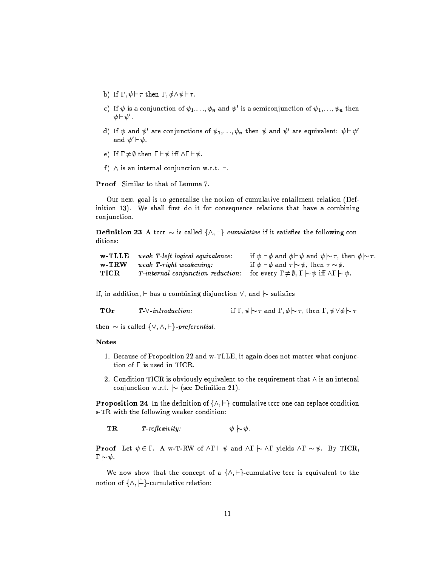- b) If  $\Gamma$ ,  $\psi$   $\vdash \tau$  then  $\Gamma$ ,  $\phi \wedge \psi$   $\vdash \tau$ .
- c) If  $\psi$  is a conjunction of  $\psi_1,\ldots,\psi_n$  and  $\psi$  is a semiconjunction of  $\psi_1,\ldots,\psi_n$  then  $\psi \vdash \psi$  .
- $a)$  if  $\psi$  and  $\psi$  are conjunctions of  $\psi_1, \ldots, \psi_n$  then  $\psi$  and  $\psi$  are equivalent:  $\psi \vdash \psi$ anu  $\psi \ \vdash \psi$ .
- e) If  $\Gamma \neq \emptyset$  then  $\Gamma \vdash \psi$  iff  $\land \Gamma \vdash \psi$ .
- f)  $\land$  is an internal conjunction w.r.t.  $\vdash$ .

Proof Similar to that of Lemma 7.

Our next goal is to generalize the notion of cumulative entailment relation (Definition 13). We shall first do it for consequence relations that have a combining conjunction.

**Definition 23** A tccr  $\sim$  is called  $\{\wedge, \vdash\}$ -cumulative if it satisfies the following conditions:

|       | $w-TLLE$ weak T-left logical equivalence:                                                                                        | if $\psi \vdash \phi$ and $\phi \vdash \psi$ and $\psi \not\sim \tau$ , then $\phi \not\sim \tau$ . |
|-------|----------------------------------------------------------------------------------------------------------------------------------|-----------------------------------------------------------------------------------------------------|
| w TRW | weak T-right weakening.                                                                                                          | if $\psi \vdash \phi$ and $\tau \sim \psi$ , then $\tau \sim \phi$ .                                |
| TICR  | <i>T</i> -internal conjunction reduction: for every $\Gamma \neq \emptyset$ , $\Gamma \sim \psi$ iff $\wedge \Gamma \sim \psi$ . |                                                                                                     |

If, in addition,  $\vdash$  has a combining disjunction  $\vee$ , and  $\vdash$  satisfies

T- $\lor$ -introduction: if  $\Gamma$ ,  $\psi \sim \tau$  and  $\Gamma$ ,  $\phi \sim \tau$ , then  $\Gamma$ ,  $\psi \lor \phi \sim \tau$ **TOr** 

then  $\sim$  is called  $\{\vee, \wedge, \vdash\}$ -preferential.

## Notes

- 1. Because of Proposition 22 and w-TLLE, it again does not matter what conjunction of  $\Gamma$  is used in TICR.
- 2. Condition TICR is obviously equivalent to the requirement that  $\wedge$  is an internal conjunction w.r.t.  $\sim$  (see Definition 21).

**Proposition 24** In the definition of  $\{\wedge, \vdash\}$ -cumulative tccr one can replace condition s-TR with the following weaker condition:

**TR** T-reflexivity:  $\psi \sim \psi$ .

**Proof** Let  $\psi \in \Gamma$ . A w-T-RW of  $\wedge \Gamma \vdash \psi$  and  $\wedge \Gamma \vdash \wedge \Gamma$  yields  $\wedge \Gamma \vdash \psi$ . By TICR,  $\Gamma \sim \psi$ .

We now show that the concept of a  $\{\wedge, \vdash\}$ -cumulative tccr is equivalent to the notion of  $\{\wedge, [\neg]$ -cumulative relation: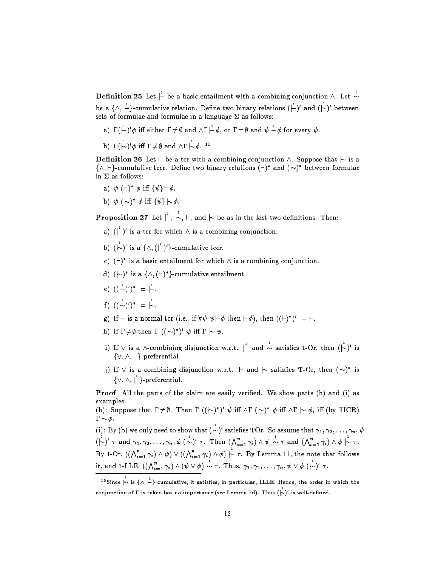**Definition 25** Let  $\vdash$  be a basic entailment with a combining conjunction  $\land$ . Let  $\}$ be a  $\{\wedge, \lvert \vdash \rangle\}$ -cumulative relation. Define two binary relations  $(\lvert \lnot \rangle')$  and  $(\lvert \lnot \rangle)$  $\sim$ ) petween sets of formulae and formulae in a language  $\Sigma$  as follows:

- a)  $\Gamma(-)' \phi$  iff either  $\Gamma \neq \emptyset$  and  $\wedge \Gamma \vdash \phi$ , or  $\Gamma = \emptyset$  and  $\psi \vdash \phi$  for every  $\psi$ .
- b) (j  $\sim$  )  $\varphi$  in 1  $\neq$   $\psi$  and  $\wedge$  1  $\gamma$  $\sim$   $\varphi$  .

**Definition 26** Let  $\vdash$  be a tcr with a combining conjunction  $\land$ . Suppose that  $\vdash$  is a  $\{\wedge, \vdash \}$ -cumulative tccr. Define two binary relations ( $\sqsubset$ ) and ( $\blacktriangleright$ ) -between formulae in  $\Sigma$  as follows:

- a)  $\psi$  (г)  $\varphi$  III  $\{\psi\} \sqcap \varphi$ .
- $D$ )  $\psi$   $\upharpoonright$   $\sim$   $I$   $\varphi$   $\downarrow$   $\Box$   $\upharpoonright$   $\psi$   $\upharpoonright$   $\sim$   $\varphi$ .

 ${\bf Proposition ~27 ~ \ }$  Let  $\leftarrow, \leftarrow$ , and in the last two density of the last two density of the last two density of the last two density of the last two density of the last two density of the last two density of the last two density of the last two density

- a)  $($ |- $)$ ' is a tcr for which  $\wedge$  is a combining conjunction.
- $\sim$   $\sim$   $\sim$  $\sim$ )' is a { $\wedge$ , ( $\vdash$ )'}-cumulative tccr.
- c) ( $\sqcap$ ) is a basic entailment for which  $\wedge$  is a combining conjunction.
- $\alpha$ ) ( $\sim$ ) is a  $\gamma \wedge$ , ( $\sqcap$ )  $\gamma$ -cumulative entailment.
- e)  $((-)'^* = -$
- f ) ((j  $\sim$ ) )  $\equiv$   $\gamma$ .
- g) if  $\sqsubset$  is a normal tcr (i.e., if  $\forall \psi \ \psi \sqsubset \phi$  then  $\sqsubset \phi$ ), then (( $\sqsubset$ )  $\sqsubset$   $\sqsubset$   $\sqsubset$
- $\ln$ ) ii 1  $\neq$   $\psi$  then 1 ((|~) )  $\psi$  in 1 |~  $\psi$ .
- i) If  $\vee$  is a  $\wedge$ -combining disjunction w.r.t.  $\vdash$  and  $\vdash$  satises 1-Or, then (j  $\sim$  ) is  $\{\vee, \wedge, \vdash\}$ -preferential.
- $\mu$  if  $\vee$  is a combining disjunction w.r.t.  $\vdash$  and  $\sim$  satisfies T-Or, then ( $\sim$ ) is  $\{ \vee, \wedge, \vdash \}$ -preferential.

Proof All the parts of the claim are easily verified. We show parts (h) and (i) as examples:

(n): Suppose that  $1 \neq \emptyset$ . Then  $1 \mid (\uparrow \sim) \mid \psi$  in  $\wedge 1 \mid (\uparrow \sim) \mid \psi$  in  $\wedge 1 \mid \sim \psi$ , in (by Tick)  $\Gamma \sim \phi$ .

 $\cdots$  By (b) we only need to show the show that  $\cdots$  $\sim$ ) satismes TOr. So assume that  $\gamma_1, \gamma_2, \ldots, \gamma_n$ ,  $\sim$ - $\sim$ )  $\tau$  and  $\gamma_1, \gamma_2, \ldots, \gamma_n, \varphi$  (r - $(\sim)'$   $\tau$ . Then  $(\bigwedge_{i=1}^{n} \gamma_{i}) \wedge \psi$  $\sim$   $\tau$  and  $(\bigwedge_{i=1}^{n} \gamma_{i}) \wedge \phi$  | - .  $\text{By 1-Or},\, \left(\left(\bigwedge_{i=1}^n \gamma_i\right) \wedge \psi\right) \vee \left(\left(\bigwedge_{i=1}^n \gamma_i\right) \wedge \phi\right) \, \left| \right.$ . By Lemma 11, the note that follows that follows it, and 1-LLE,  $((\bigwedge_{i=1}^{n} \gamma_{i}) \wedge (\psi \vee \phi) \nmid$  $\cdot$  $\cdots$   $\cdots$   $\cdots$   $\cdots$   $\cdots$   $\cdots$   $\cdots$   $\cdots$   $\cdots$  $\overline{\phantom{a}}$  $\sim$ l $\tau.$ 

<sup>&</sup>lt;sup>10</sup>Since  $\stackrel{\frown}{\triangleright}$  is  $\{\wedge,\stackrel{\frown}{\vdash}\}$ -cumulative, it satisfies, in particular, 1LLE. Hence, the order in which the conjunction of  $\Gamma$  is taken has no importance (see Lemma 7d). Thus  $(\mathop{\sim}\limits|\mathop{\sim}\limits)'$  is well-defined.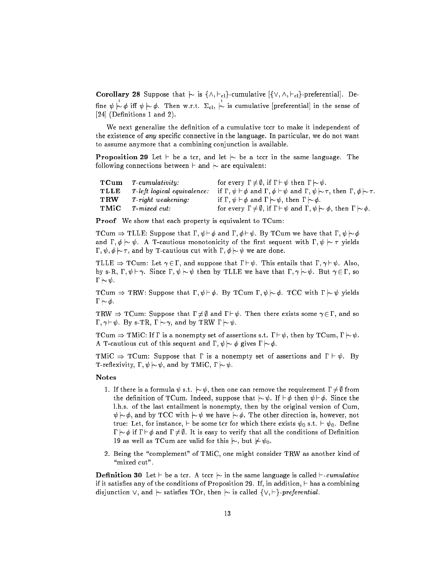Corollary 28 Suppose that  $\sim$  is  $\{\wedge, \vdash_{\text{cl}}\}$ -cumulative  $[\{\vee, \wedge, \vdash_{\text{cl}}\}$ -preferential]. Denene r if  $\tau$  is the  $\tau$  . Then we have the contract of  $\tau$  is cumulative [preferential] in the sense of [24] (Definitions 1 and 2).

We next generalize the definition of a cumulative tccr to make it independent of the existence of any specific connective in the language. In particular, we do not want to assume anymore that a combining conjunction is available.

**Proposition 29** Let  $\vdash$  be a tcr, and let  $\sim$  be a tccr in the same language. The following connections between  $\vdash$  and  $\vdash$  are equivalent:

|            | $TCum$ <i>T</i> cumulativity. | for every $\Gamma \neq \emptyset$ , if $\Gamma \vdash \psi$ then $\Gamma \sim \psi$ .                                                       |
|------------|-------------------------------|---------------------------------------------------------------------------------------------------------------------------------------------|
| TLLE       | T-left logical equivalence:   | if $\Gamma$ , $\psi \vdash \phi$ and $\Gamma$ , $\phi \vdash \psi$ and $\Gamma$ , $\psi \vdash \tau$ , then $\Gamma$ , $\phi \vdash \tau$ . |
| <b>TRW</b> | $T$ -right weakening:         | if $\Gamma, \psi \vdash \phi$ and $\Gamma \vdash \psi$ , then $\Gamma \vdash \phi$ .                                                        |
| TMiC       | T mixed cut.                  | for every $\Gamma \neq \emptyset$ , if $\Gamma \vdash \psi$ and $\Gamma, \psi \mid \neg \phi$ , then $\Gamma \mid \neg \phi$ .              |

Proof We show that each property is equivalent to TCum:

TCum  $\Rightarrow$  TLLE: Suppose that  $\Gamma$ ,  $\psi \vdash \phi$  and  $\Gamma$ ,  $\phi \vdash \psi$ . By TCum we have that  $\Gamma$ ,  $\psi \vdash \phi$ and  $\Gamma, \phi \sim \psi$ . A T-cautious monotonicity of the first sequent with  $\Gamma, \psi \sim \tau$  yields  $\Gamma, \psi, \phi \sim \tau$ , and by T-cautious cut with  $\Gamma, \phi \sim \psi$  we are done.

TLLE  $\Rightarrow$  TCum: Let  $\gamma \in \Gamma$ , and suppose that  $\Gamma \vdash \psi$ . This entails that  $\Gamma, \gamma \vdash \psi$ . Also, by s-R,  $\Gamma$ ,  $\psi \vdash \gamma$ . Since  $\Gamma$ ,  $\psi \vdash \psi$  then by TLLE we have that  $\Gamma$ ,  $\gamma \vdash \psi$ . But  $\gamma \in \Gamma$ , so  $\Gamma \sim \psi$ .

TCum  $\Rightarrow$  TRW: Suppose that  $\Gamma$ ,  $\psi \vdash \phi$ . By TCum  $\Gamma$ ,  $\psi \vdash \phi$ . TCC with  $\Gamma \vdash \psi$  yields  $\Gamma \sim \phi$ .

TRW  $\Rightarrow$  TCum: Suppose that  $\Gamma \neq \emptyset$  and  $\Gamma \vdash \psi$ . Then there exists some  $\gamma \in \Gamma$ , and so  $\Gamma, \gamma \vdash \psi$ . By s-TR,  $\Gamma \vdash \gamma$ , and by TRW  $\Gamma \vdash \psi$ .

TCum  $\Rightarrow$  TMiC: If  $\Gamma$  is a nonempty set of assertions s.t.  $\Gamma \vdash \psi$ , then by TCum,  $\Gamma \vdash \psi$ . A T-cautious cut of this sequent and  $\Gamma$ ,  $\psi \sim \phi$  gives  $\Gamma \sim \phi$ .

TMiC  $\Rightarrow$  TCum: Suppose that  $\Gamma$  is a nonempty set of assertions and  $\Gamma \vdash \psi$ . By T-reflexivity,  $\Gamma$ ,  $\psi \sim \psi$ , and by TMiC,  $\Gamma \sim \psi$ .

## Notes

- 1. If there is a formula  $\psi$  s.t.  $\sim \psi$ , then one can remove the requirement  $\Gamma \neq \emptyset$  from the definition of TCum. Indeed, suppose that  $\sim \psi$ . If  $\vdash \phi$  then  $\psi \vdash \phi$ . Since the l.h.s. of the last entailment is nonempty, then by the original version of Cum,  $\psi \sim \phi$ , and by TCC with  $\sim \psi$  we have  $\sim \phi$ . The other direction is, however, not true:  $\mu$  , for instance,  $\mu$  be some true true which there exists  $\mu$   $\mu$  s.t.  $\mu$   $\mu$  . Defines  $\Gamma\!\hspace{0.5pt}\sim\hspace{-0.5pt}\phi$  if  $\Gamma\!\vdash\!\phi$  and  $\Gamma\!\neq\!\emptyset$ . It is easy to verify that all the conditions of Definition 19 as well as TCum are valid for this  $\sim$ , but  $\not{\sim} \psi_0$ .
- 2. Being the "complement" of TMiC, one might consider TRW as another kind of " $\min$ red cut".

**Definition 30** Let  $\vdash$  be a tcr. A tccr  $\sim$  in the same language is called  $\vdash$ -cumulative if it satisfies any of the conditions of Proposition 29. If, in addition,  $\vdash$  has a combining disjunction  $\vee$ , and  $\sim$  satisfies TOr, then  $\sim$  is called  $\{\vee, \vdash\}$ -preferential.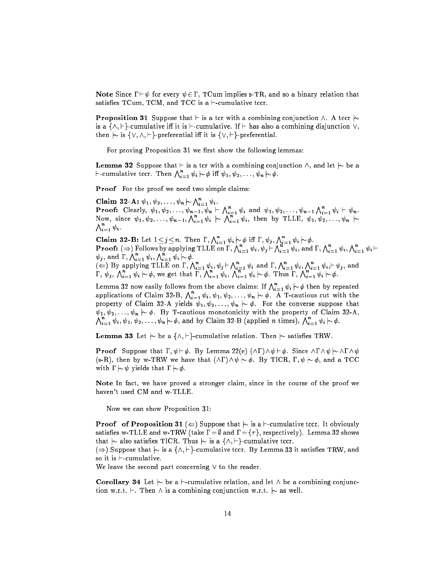Note Since  $\Gamma \vdash \psi$  for every  $\psi \in \Gamma$ , TCum implies s-TR, and so a binary relation that satisfies TCum, TCM, and TCC is a  $\vdash$ -cumulative tccr.

**Proposition 31** Suppose that  $\vdash$  is a tcr with a combining conjunction  $\land$ . A tccr  $\vdash$ is a  $\{\wedge, \vdash\}$ -cumulative iff it is  $\vdash$ -cumulative. If  $\vdash$  has also a combining disjunction  $\vee$ , then  $\sim$  is  $\{\vee, \wedge, \vdash\}$ -preferential iff it is  $\{\vee, \vdash\}$ -preferential.

For proving Proposition 31 we first show the following lemmas:

**Lemma 32** Suppose that  $\vdash$  is a tcr with a combining conjunction  $\land$ , and let  $\vdash$  be a  $\vdash$ -cumulative tccr. Then  $\bigwedge_{i=1}^n \psi_i \sim \phi$  iff  $\psi_1, \psi_2, \ldots, \psi_n \sim \phi$ .

Proof For the proof we need two simple claims:

Claim 32-A:  $\psi_1, \psi_2, \ldots, \psi_n \sim \bigwedge_{i=1}^n \psi_i$ . **Proof:** Clearly,  $\psi_1, \psi_2, \ldots, \psi_{n-1}, \psi_n \vdash \bigwedge_{i=1}^n \psi_i$  and  $\psi_1, \psi_2, \ldots, \psi_{n-1} \bigwedge_{i=1}^n \psi_i \vdash \psi_n$ . Now, since  $\psi_1, \psi_2, \ldots, \psi_{n-1}, \bigwedge_{i=1}^n \psi_i \sim \bigwedge_{i=1}^n \psi_i$ , then by TLLE,  $\psi_1, \psi_2, \ldots, \psi_n \hspace{0.25cm}\sim\hspace{0.25cm}$  $\bigwedge_{i=1}^n \psi_i$  .

**Claim 32-B:** Let  $1 \leq j \leq n$ . Then  $\Gamma$ ,  $\bigwedge_{i=1}^{n} \psi_i \sim \phi$  iff  $\Gamma$ ,  $\psi_j$ ,  $\bigwedge_{i=1}^{n} \psi_i \sim \phi$ .  $\bf{Proof:} \; (\Rightarrow) \; {\rm Follows} \; {\rm by} \; {\rm applying} \; {\rm TLLE} \; {\rm on} \; \Gamma, \bigwedge_{i=1}^n \psi_i, \, \psi_j \vdash \bigwedge_{i=1}^n \psi_i, \; {\rm and} \; \Gamma, \bigwedge_{i=1}^n \psi_i, \bigwedge_{i=1}^n \psi_i \vdash$  $\psi_j, \text{ and } \Gamma, \bigwedge_{i=1}^n \psi_i, \bigwedge_{i=1}^n \psi_i \big\vert \sim \phi.$  $(\Leftarrow)$  By applying TLLE on  $\Gamma, \bigwedge_{i=1}^n \psi_i, \psi_j \vdash \bigwedge_{i=1}^n \psi_i$  and  $\Gamma, \bigwedge_{i=1}^n \psi_i, \bigwedge_{i=1}^n \psi_i, \vdash \psi_j,$  and  $\Gamma, \ \psi_j, \ \bigwedge_{i=1}^n \psi_i \hspace{0.2em}\sim\hspace{-0.9em}\mid\hspace{0.5em} \phi,$  we get that  $\Gamma, \ \bigwedge_{i=1}^n \psi_i, \ \bigwedge_{i=1}^n \psi_i \hspace{0.2em}\sim\hspace{-0.9em}\mid\hspace{0.5em} \phi.$  Thus  $\Gamma, \ \bigwedge_{i=1}^n \psi_i \hspace{0.2em}\sim\hspace{-0.9em}\mid\hspace{0.5em} \phi.$ 

Lemma 32 now easily follows from the above claims: If  $\bigwedge_{i=1}^n \psi_i \hspace{0.2em}\sim\hspace{-0.9em}\mid\hspace{0.58em} \phi$  then by repeated applications of Claim 32-B,  $\bigwedge_{i=1}^{n} \psi_i, \psi_1, \psi_2, \ldots, \psi_n \big\vert \sim \phi$ . A T-cautious cut with the property of Claim 32-A yields  $\psi_1, \psi_2, \ldots, \psi_n \hspace{0.2em}\sim\hspace{0.2em}\phi$ . For the converse suppose that  $\psi_1, \psi_2, \ldots, \psi_n \sim \phi$ . By T-cautious monotonicity with the property of Claim 32-A,  $\bigwedge_{i=1}^n \psi_i, \psi_1, \psi_2, \ldots, \psi_n \big\vert \sim \phi$ , and by Claim 32-B (applied n times),  $\bigwedge_{i=1}^n \psi_i \big\vert \sim \phi$ .

**Lemma 33** Let  $\sim$  be a { $\wedge$ ,  $\vdash$ }-cumulative relation. Then  $\sim$  satisfies TRW.

**Proof** Suppose that  $\Gamma$ ,  $\psi \vdash \phi$ . By Lemma 22(e)  $(\land \Gamma) \land \psi \vdash \phi$ . Since  $\land \Gamma \land \psi \vdash \land \Gamma \land \psi$ (s-R), then by w-TRW we have that  $(\wedge\Gamma)\wedge\psi \sim \phi$ . By TICR,  $\Gamma, \psi \sim \phi$ , and a TCC with  $\Gamma \sim \psi$  yields that  $\Gamma \sim \phi$ .

Note In fact, we have proved a stronger claim, since in the course of the proof we haven't used CM and w-TLLE.

Now we can show Proposition 31:

**Proof** of Proposition 31 ( $\Leftarrow$ ) Suppose that  $\sim$  is a  $\vdash$ -cumulative tccr. It obviously satisfies w-TLLE and w-TRW (take  $\Gamma = \emptyset$  and  $\Gamma = \{\tau\}$ , respectively). Lemma 32 shows that  $\sim$  also satisfies TICR. Thus  $\sim$  is a { $\wedge$ ,  $\vdash$ }-cumulative tccr.

 $(\Rightarrow)$  Suppose that  $\sim$  is a  $\{\wedge,\vdash\}$ -cumulative tccr. By Lemma 33 it satisfies TRW, and so it is  $\vdash$ -cumulative.

We leave the second part concerning  $\vee$  to the reader.

**Corollary 34** Let  $\sim$  be a  $\vdash$ -cumulative relation, and let  $\land$  be a combining conjunction w.r.t.  $\vdash$ . Then  $\land$  is a combining conjunction w.r.t.  $\vdash$  as well.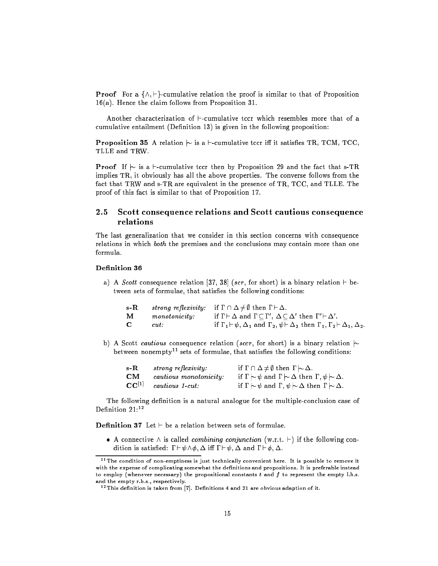**Proof** For a  $\{\wedge, \vdash\}$ -cumulative relation the proof is similar to that of Proposition 16(a). Hence the claim follows from Proposition 31.

Another characterization of  $\vdash$ -cumulative tccr which resembles more that of a cumulative entailment (Definition  $13$ ) is given in the following proposition:

**Proposition 35** A relation  $\sim$  is a  $\vdash$ -cumulative tccr iff it satisfies TR, TCM, TCC, TLLE and TRW.

**Proof** If  $\sim$  is a  $\vdash$ -cumulative tccr then by Proposition 29 and the fact that s-TR implies TR, it obviously has all the above properties. The converse follows from the fact that TRW and s-TR are equivalent in the presence of TR, TCC, and TLLE. The proof of this fact is similar to that of Proposition 17.

## Scott consequence relations and Scott cautious consequence  $2.5$

The last generalization that we consider in this section concerns with consequence relations in which both the premises and the conclusions may contain more than one formula.

## Definition 36

a) A Scott consequence relation [37, 38] (scr, for short) is a binary relation  $\vdash$  between sets of formulae, that satisfies the following conditions:

| s R |                     | strong reflexivity: if $\Gamma \cap \Delta \neq \emptyset$ then $\Gamma \vdash \Delta$ .                                       |
|-----|---------------------|--------------------------------------------------------------------------------------------------------------------------------|
| М   | $\it monotonicity.$ | if $\Gamma \vdash \Delta$ and $\Gamma \subset \Gamma'$ , $\Delta \subset \Delta'$ then $\Gamma' \vdash \Delta'$ .              |
| C.  | cut.                | if $\Gamma_1 \vdash \psi, \Delta_1$ and $\Gamma_2, \psi \vdash \Delta_2$ then $\Gamma_1, \Gamma_2 \vdash \Delta_1, \Delta_2$ . |

b) A Scott cautious consequence relation (sccr, for short) is a binary relation  $\sim$ between nonempty<sup>11</sup> sets of formulae, that satisfies the following conditions:

| s R | $strong$ $reflexivity$ .            | if $\Gamma \cap \Delta \neq \emptyset$ then $\Gamma \sim \Delta$ .               |
|-----|-------------------------------------|----------------------------------------------------------------------------------|
| CM  | cautious monotonicity:              | if $\Gamma \sim \psi$ and $\Gamma \sim \Delta$ then $\Gamma, \psi \sim \Delta$ . |
|     | $\mathbf{CC}^{[1]}$ cautious 1-cut: | if $\Gamma \sim \psi$ and $\Gamma, \psi \sim \Delta$ then $\Gamma \sim \Delta$ . |

The following definition is a natural analogue for the multiple-conclusion case of Definition  $21:^{12}$ 

**Definition 37** Let  $\vdash$  be a relation between sets of formulae.

A connective  $\wedge$  is called *combining conjunction* (w.r.t.  $\vdash$ ) if the following condition is satisfied:  $\Gamma \vdash \psi \land \phi$ ,  $\Delta$  iff  $\Gamma \vdash \psi$ ,  $\Delta$  and  $\Gamma \vdash \phi$ ,  $\Delta$ .

 $11$  The condition of non-emptiness is just technically convenient here. It is possible to remove it with the expense of complicating somewhat the definitions and propositions. It is preferable instead to employ (whenever necessary) the propositional constants  $t$  and  $f$  to represent the empty l.h.s. and the empty r.h.s., respectively.

 $12$ This definition is taken from [7]. Definitions 4 and 21 are obvious adaption of it.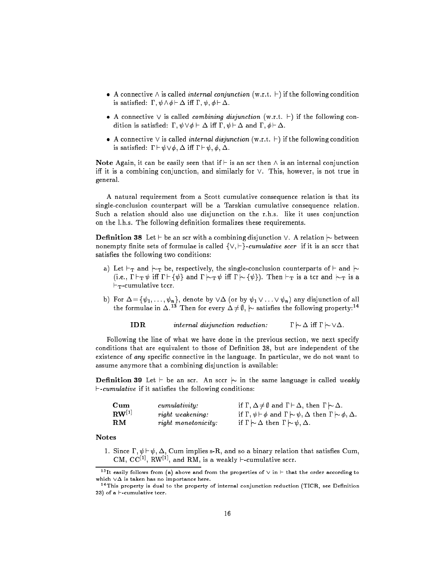- A connective  $\wedge$  is called *internal conjunction* (w.r.t.  $\vdash$ ) if the following condition is satisfied:  $\Gamma$ ,  $\psi \wedge \phi \vdash \Delta$  iff  $\Gamma$ ,  $\psi$ ,  $\phi \vdash \Delta$ .
- A connective  $\vee$  is called *combining disjunction* (w.r.t.  $\vdash$ ) if the following condition is satisfied:  $\Gamma$ ,  $\psi \lor \phi \vdash \Delta$  iff  $\Gamma$ ,  $\psi \vdash \Delta$  and  $\Gamma$ ,  $\phi \vdash \Delta$ .
- A connective  $\vee$  is called *internal disjunction* (w.r.t.  $\vdash$ ) if the following condition is satisfied:  $\Gamma \vdash \psi \lor \phi, \Delta$  iff  $\Gamma \vdash \psi, \phi, \Delta$ .

Note Again, it can be easily seen that if  $\vdash$  is an scr then  $\land$  is an internal conjunction iff it is a combining conjunction, and similarly for  $\vee$ . This, however, is not true in general.

A natural requirement from a Scott cumulative consequence relation is that its single-conclusion counterpart will be a Tarskian cumulative consequence relation. Such a relation should also use disjunction on the r.h.s. like it uses conjunction on the l.h.s. The following definition formalizes these requirements.

**Definition 38** Let  $\vdash$  be an scr with a combining disjunction  $\vee$ . A relation  $\sim$  between nonempty finite sets of formulae is called  $\{ \vee, \vdash \}$ -cumulative sccr if it is an sccr that satisfies the following two conditions:

- a) Let  $\mathbf{L}$  be, respectively, the single-conclusion conclusion conclusion conclusion conclusion conclusion conclusion conclusion conclusion conclusion conclusion conclusion conclusion conclusion conclusion conclusion (i.e., it is a transit in the following indicated in the term in the following  $\Gamma$  is a term in the following  $\Gamma$  $\vdash_{\mathsf{T}}$ -cumulative tccr.
- b) For  $\Delta = {\psi_1, \ldots, \psi_n}$ , denote by  $\vee \Delta$  (or by  $\psi_1 \vee \ldots \vee \psi_n$ ) any disjunction of all the formulae in  $\Delta$ .<sup>13</sup> Then for every  $\Delta \neq \emptyset$ ,  $\sim$  satisfies the following property:<sup>14</sup>

**IDR** internal disjunction reduction:  $\Gamma \sim \Delta$  iff  $\Gamma \sim \vee \Delta$ .

Following the line of what we have done in the previous section, we next specify conditions that are equivalent to those of Definition 38, but are independent of the existence of any specific connective in the language. In particular, we do not want to assume anymore that a combining disjunction is available:

**Definition 39** Let  $\vdash$  be an scr. An sccr  $\sim$  in the same language is called weakly  $\vdash$ -cumulative if it satisfies the following conditions:

| $_{\rm Cum}$                 | cumularity:         | if $\Gamma, \Delta \neq \emptyset$ and $\Gamma \vdash \Delta$ , then $\Gamma \vdash \Delta$ .           |
|------------------------------|---------------------|---------------------------------------------------------------------------------------------------------|
| $\mathbf{R}\mathbf{W}^{[1]}$ | right weakening:    | if $\Gamma$ , $\psi \vdash \phi$ and $\Gamma \sim \psi$ , $\Delta$ then $\Gamma \sim \phi$ , $\Delta$ . |
| RМ                           | right monotonicity. | if $\Gamma \sim \Delta$ then $\Gamma \sim \psi$ . $\Delta$ .                                            |

#### Notes

1. Since  $\Gamma$ ,  $\psi \vdash \psi$ ,  $\Delta$ , Cum implies s-R, and so a binary relation that satisfies Cum, CM,  $CC^{[1]}$ , RW<sup>[1]</sup>, and RM, is a weakly  $\vdash$ -cumulative sccr.

 $\lceil$  1t easily follows from (a) above and from the properties of  $\lor$  in  $\sqsubset$  that the order according to which  $\vee \Delta$  is taken has no importance here.

 $14$ This property is dual to the property of internal conjunction reduction (TICR, see Definition 23) of a  $\vdash$  cumulative tccr.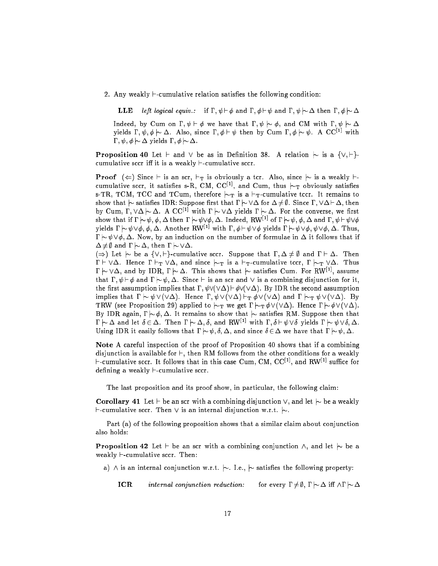2. Any weakly  $\vdash$ -cumulative relation satisfies the following condition:

**LLE** left logical equiv.: if  $\Gamma$ ,  $\psi \vdash \phi$  and  $\Gamma$ ,  $\phi \vdash \psi$  and  $\Gamma$ ,  $\psi \vdash \Delta$  then  $\Gamma$ ,  $\phi \vdash \Delta$ 

Indeed, by Cum on  $\Gamma, \psi \vdash \phi$  we have that  $\Gamma, \psi \vdash \phi$ , and CM with  $\Gamma, \psi \vdash \Delta$ yields  $\Gamma$ ,  $\psi$ ,  $\phi \sim \Delta$ . Also, since  $\Gamma$ ,  $\phi \vdash \psi$  then by Cum  $\Gamma$ ,  $\phi \vdash \psi$ . A CC<sup>[1]</sup> with  $\Gamma$ ,  $\psi$ ,  $\phi \sim \Delta$  yields  $\Gamma$ ,  $\phi \sim \Delta$ .

**Proposition 40** Let  $\vdash$  and  $\vee$  be as in Definition 38. A relation  $\sim$  is a  $\{\vee, \vdash\}$ cumulative sccr iff it is a weakly  $\vdash$ -cumulative sccr.

Proof (() Since ` is an scr, `T is obviously a tcr. Also, since j is <sup>a</sup> weakly ` cumulative sccr, it satisfies s-R, CM, CC<sup> $+$ </sup>, and Cum, thus  $\sim_T$  obviously satisfies s-TR, TCM, TCC and TCum, therefore jT is <sup>a</sup> `T-cumulative tccr. It remains to show that  $\vdash$  satisfies IDR: Suppose first that  $\Gamma \not\models \lor \Delta$  for  $\Delta \neq \emptyset$ . Since  $\Gamma, \lor \Delta \vdash \Delta$ , then by Cum,  $\Gamma$ ,  $\lor \Delta \sim \Delta$ . A CC<sup>[1]</sup> with  $\Gamma \sim \lor \Delta$  yields  $\Gamma \sim \Delta$ . For the converse, we first show that if  $\Gamma \hspace{0.2em}\sim\hspace{0.2em} \psi, \phi, \Delta$  then  $\Gamma \hspace{0.2em}\sim\hspace{0.2em} \psi \vee \phi, \Delta$ . Indeed,  $\text{RW}^{[1]}$  of  $\Gamma \hspace{0.2em}\sim\hspace{0.2em} \psi, \phi, \Delta$  and  $\Gamma, \psi \hspace{0.2em}\sim\hspace{0.2em} \psi \vee \phi$ yields  $\Gamma \sim \psi \lor \phi, \phi, \Delta$ . Another RW<sup>[1]</sup> with  $\Gamma, \phi \vdash \psi \lor \phi$  yields  $\Gamma \sim \psi \lor \phi, \psi \lor \phi, \Delta$ . Thus,  $\Gamma \sim \psi \lor \phi$ ,  $\Delta$ . Now, by an induction on the number of formulae in  $\Delta$  it follows that if  $\Delta \neq \emptyset$  and  $\Gamma \sim \Delta$ , then  $\Gamma \sim \Delta$ .

 $(\Rightarrow)$  Let  $\sim$  be a  $\{ \vee, \vdash \}$ -cumulative sccr. Suppose that  $\Gamma, \Delta \neq \emptyset$  and  $\Gamma \vdash \Delta$ . Then . The since it is a since  $\mathcal{I}$  is a since  $\mathcal{I}$  is a since the since term in the since  $\mathcal{I}$  $\Gamma \sim \vee \Delta$ , and by IDR,  $\Gamma \sim \Delta$ . This shows that  $\sim$  satisfies Cum. For RW<sup>[1]</sup>, assume that  $\Gamma$ ,  $\psi \vdash \phi$  and  $\Gamma \mid \sim \psi$ ,  $\Delta$ . Since  $\vdash$  is an scr and  $\vee$  is a combining disjunction for it, the first assumption implies that  $\Gamma$ ,  $\psi(\vee \Delta) \vdash \phi \vee (\vee \Delta)$ . By IDR the second assumption implies that j \_(\_). Hence ; \_(\_) `T \_(\_) and jT \_(\_). By True  $\mathcal{F}$  , and  $\mathcal{F}$  is the proposition  $\mathcal{F}$  and  $\mathcal{F}$  is a junction  $\mathcal{F}$ . Hence if  $\mathcal{F}$  is a junction  $\mathcal{F}$  is a junction of  $\mathcal{F}$  is a junction of  $\mathcal{F}$  is a junction of  $\mathcal{F}$  is a jun By IDR again,  $\Gamma \sim \phi$ ,  $\Delta$ . It remains to show that  $\sim$  satisfies RM. Suppose then that  $\Gamma \sim \Delta$  and let  $\delta \in \Delta$ . Then  $\Gamma \sim \Delta$ ,  $\delta$ , and RW<sup>[1]</sup> with  $\Gamma$ ,  $\delta \vdash \psi \lor \delta$  yields  $\Gamma \sim \psi \lor \delta$ ,  $\Delta$ . Using IDR it easily follows that  $\Gamma \sim \psi$ ,  $\delta$ ,  $\Delta$ , and since  $\delta \in \Delta$  we have that  $\Gamma \sim \psi$ ,  $\Delta$ .

Note A careful inspection of the proof of Proposition 40 shows that if a combining disjunction is available for  $\vdash$ , then RM follows from the other conditions for a weakly  $\vdash$ -cumulative sccr. It follows that in this case Cum, CM, CC<sup>[1]</sup>, and RW<sup>[1]</sup> suffice for defining a weakly  $\vdash$ -cumulative sccr.

The last proposition and its proof show, in particular, the following claim:

**Corollary 41** Let  $\vdash$  be an scr with a combining disjunction  $\vee$ , and let  $\vdash$  be a weakly  $\vdash$ -cumulative sccr. Then  $\lor$  is an internal disjunction w.r.t.  $\vdash$ .

Part (a) of the following proposition shows that a similar claim about conjunction also holds:

**Proposition 42** Let  $\vdash$  be an scr with a combining conjunction  $\land$ , and let  $\vdash$  be a weakly  $\vdash$ -cumulative sccr. Then:

- a)  $\land$  is an internal conjunction w.r.t.  $\sim$  I.e.,  $\sim$  satisfies the following property:
	- **ICR** internal conjunction reduction: for every  $\Gamma \neq \emptyset$ ,  $\Gamma \sim \Delta$  iff  $\land \Gamma \sim \Delta$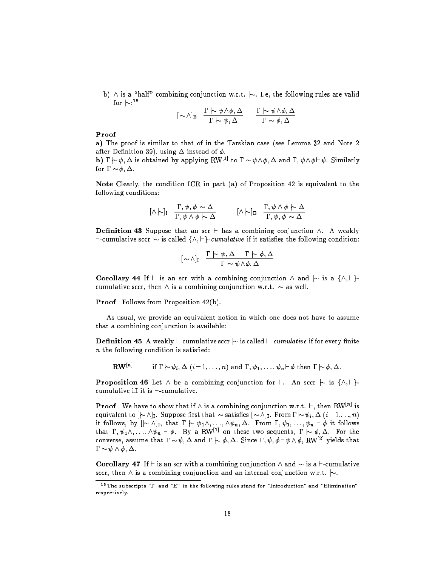b)  $\wedge$  is a "half" combining conjunction w.r.t.  $\sim$ . I.e, the following rules are valid  $\mathrm{hor}~\sim$  :  $\bar{}~$ 

$$
[\n\sim \wedge]_{\mathcal{E}} \quad \frac{\Gamma \sim \psi \wedge \phi, \Delta}{\Gamma \sim \psi, \Delta} \qquad \frac{\Gamma \sim \psi \wedge \phi, \Delta}{\Gamma \sim \phi, \Delta}
$$

Proof

a) The proof is similar to that of in the Tarskian case (see Lemma 32 and Note 2 after Definition 39), using  $\Delta$  instead of  $\phi$ .

b)  $\Gamma \sim \psi$ ,  $\Delta$  is obtained by applying RW<sup>[1]</sup> to  $\Gamma \sim \psi \wedge \phi$ ,  $\Delta$  and  $\Gamma$ ,  $\psi \wedge \phi \vdash \psi$ . Similarly for  $\Gamma \sim \phi$ ,  $\Delta$ .

Note Clearly, the condition ICR in part (a) of Proposition 42 is equivalent to the following conditions:

$$
[\wedge \hspace{0.2em}\sim\hspace{0.2em} ]_I \quad \frac{\Gamma,\,\psi,\,\phi \hspace{0.2em}\sim\hspace{0.2em}\sim\hspace{0.2em} \Delta}{\Gamma,\,\psi \wedge \phi \hspace{0.2em}\sim\hspace{0.2em} \Delta} \qquad \qquad [\wedge \hspace{0.2em}\sim\hspace{0.2em} ]_E \quad \frac{\Gamma,\,\psi \wedge \phi \hspace{0.2em}\sim\hspace{0.2em} \triangle}{\Gamma,\,\psi,\,\phi \hspace{0.2em}\sim\hspace{0.2em} \Delta}
$$

**Definition 43** Suppose that an scr  $\vdash$  has a combining conjunction  $\land$ . A weakly  $\vdash$ -cumulative sccr  $\sim$  is called  $\{\land, \vdash\}$ -cumulative if it satisfies the following condition:

$$
[\hspace{-.10em}\sim\hspace{-.10em}\wedge\hspace{-.10em}]_I \quad \frac{\Gamma\hspace{-.10em}\sim\hspace{-.10em}\mid\hspace{-.10em}\sim\hspace{-.10em}\psi,\hspace{-.10em}\Delta\quad\hspace{-.10em}\Gamma\hspace{-.10em}\sim\hspace{-.10em}\mid\hspace{-.10em}\phi,\hspace{-.10em}\Delta}{\Gamma\hspace{-.10em}\sim\hspace{-.10em}\psi\hspace{-.10em}\wedge\hspace{-.10em}\phi,\hspace{-.10em}\Delta}
$$

Corollary 44 If  $\vdash$  is an scr with a combining conjunction  $\land$  and  $\sim$  is a  $\{\land,\vdash\}$ cumulative sccr, then  $\wedge$  is a combining conjunction w.r.t.  $\sim$  as well.

Proof Follows from Proposition 42(b).

As usual, we provide an equivalent notion in which one does not have to assume that a combining conjunction is available:

**Definition 45** A weakly  $\vdash$ -cumulative sccr  $\sim$  is called  $\vdash$ -*cumulative* if for every finite  $n$  the following condition is satisfied:

 $\mathbf{R}\mathbf{W}^{[n]}$ if  $\Gamma \sim \psi_i$ ,  $\Delta$   $(i = 1, \ldots, n)$  and  $\Gamma, \psi_1, \ldots, \psi_n \vdash \phi$  then  $\Gamma \sim \phi, \Delta$ .

**Proposition 46** Let  $\land$  be a combining conjunction for  $\vdash$ . An sccr  $\downarrow$  is  $\{\land,\vdash\}$ cumulative iff it is  $\vdash$ -cumulative.

**Proof** We have to show that if  $\wedge$  is a combining conjunction w.r.t.  $\vdash$ , then RW<sup>r.,</sup> is equivalent to [j] '. I. Suppose that function is continued [] '. I. From I. I. I. I. From  $\alpha$  is  $\alpha$  if  $\alpha$ it follows, by  $[\sim \wedge]_I$ , that  $\Gamma \sim \psi_1 \wedge, \ldots, \wedge \psi_n, \Delta$ . From  $\Gamma, \psi_1, \ldots, \psi_n \vdash \phi$  it follows that  $\Gamma$ ,  $\psi_1 \wedge$ , ...,  $\wedge \psi_n \vdash \phi$ . By a RW<sup>[1]</sup> on these two sequents,  $\Gamma \hspace{0.2em}\sim\hspace{0.2em} \phi$ ,  $\Delta$ . For the converse, assume that  $\Gamma \sim \psi$ ,  $\Delta$  and  $\Gamma \sim \phi$ ,  $\Delta$ . Since  $\Gamma$ ,  $\psi$ ,  $\phi \vdash \psi \wedge \phi$ , RW<sup>[2]</sup> yields that  $\Gamma \sim \psi \wedge \phi, \Delta.$ 

**Corollary 47** If  $\vdash$  is an scr with a combining conjunction  $\land$  and  $\vdash$  is a  $\vdash$ -cumulative sccr, then  $\wedge$  is a combining conjunction and an internal conjunction w.r.t.  $\sim$ .

 $15$ The subscripts "I" and "E" in the following rules stand for "Introduction" and "Elimination", respectively.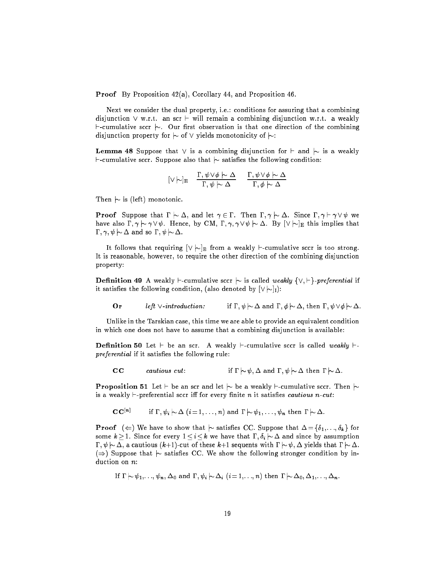Proof By Proposition 42(a), Corollary 44, and Proposition 46.

Next we consider the dual property, i.e.: conditions for assuring that a combining disjunction  $\vee$  w.r.t. an scr  $\vdash$  will remain a combining disjunction w.r.t. a weakly  $\vdash$ -cumulative sccr  $\sim$ . Our first observation is that one direction of the combining disjunction property for  $\sim$  of  $\vee$  yields monotonicity of  $\sim$ :

**Lemma 48** Suppose that  $\vee$  is a combining disjunction for  $\vdash$  and  $\mid \sim$  is a weakly  $\vdash$ -cumulative sccr. Suppose also that  $\sim$  satisfies the following condition:

$$
[\vee \mid \negthickspace \sim]_{E} \quad \frac{\Gamma, \psi \lor \phi \mid \sim \Delta}{\Gamma, \psi \mid \sim \Delta} \quad \frac{\Gamma, \psi \lor \phi \mid \sim \Delta}{\Gamma, \phi \mid \sim \Delta}
$$

Then  $\sim$  is (left) monotonic.

**Proof** Suppose that  $\Gamma \nmid \sim \Delta$ , and let  $\gamma \in \Gamma$ . Then  $\Gamma, \gamma \nmid \sim \Delta$ . Since  $\Gamma, \gamma \vdash \gamma \vee \psi$  we  $\mathbf{h}$  . Hence, by  $\mathbf{h}$  ,  $\mathbf{h}$  ,  $\mathbf{h}$  ,  $\mathbf{h}$  ,  $\mathbf{h}$  ,  $\mathbf{h}$  ,  $\mathbf{h}$  ,  $\mathbf{h}$  ,  $\mathbf{h}$  ,  $\mathbf{h}$  ,  $\mathbf{h}$  ,  $\mathbf{h}$  ,  $\mathbf{h}$  ,  $\mathbf{h}$  ,  $\mathbf{h}$  ,  $\mathbf{h}$  ,  $\mathbf{h}$  ,  $\mathbf{h}$  ,  $\$  $\Gamma, \gamma, \psi \sim \Delta$  and so  $\Gamma, \psi \sim \Delta$ .

It follows that requiring  $\mathcal{L}$  is too strong. The cumulative scalar is too strong. In the cumulative scalar is too strong. It is reasonable, however, to require the other direction of the combining disjunction property:

**Definition 49** A weakly  $\vdash$ -cumulative sccr  $\sim$  is called weakly  $\{\vee, \vdash\}$ -preferential if it satisfies the following condition, (also denoted by  $[\vee \wedge]_1$ ):

Or *left*  $\vee$ -*introduction:* if  $\Gamma$ ,  $\psi \sim \Delta$  and  $\Gamma$ ,  $\phi \sim \Delta$ , then  $\Gamma$ ,  $\psi \vee \phi \sim \Delta$ .

Unlike in the Tarskian case, this time we are able to provide an equivalent condition in which one does not have to assume that a combining disjunction is available:

**Definition 50** Let  $\vdash$  be an scr. A weakly  $\vdash$ -cumulative sccr is called weakly  $\vdash$ preferential if it satisfies the following rule:

CC cautious cut: if  $\Gamma \sim \psi$ ,  $\Delta$  and  $\Gamma$ ,  $\psi \sim \Delta$  then  $\Gamma \sim \Delta$ .

**Proposition 51** Let  $\vdash$  be an scr and let  $\vdash$  be a weakly  $\vdash$ -cumulative sccr. Then  $\vdash$ is a weakly  $\vdash$ -preferential sccr iff for every finite n it satisfies cautious n-cut:

 $\mathbf{C} \mathbf{C}^{[n]}$ if  $\Gamma$ ,  $\psi_i \sim \Delta$   $(i=1, \ldots, n)$  and  $\Gamma \sim \psi_1, \ldots, \psi_n$  then  $\Gamma \sim \Delta$ .

Proof (() We have to show that j satises CC. Suppose that =f1 ;: : :; kg for some  $k \geq 1$ . Since for every  $1 \leq i \leq k$  we have that  $\Gamma$ ,  $\delta_i \sim \Delta$  and since by assumption  $\Gamma$ ,  $\psi \sim \Delta$ , a cautious (k+1)-cut of these k+1 sequents with  $\Gamma \sim \psi$ ,  $\Delta$  yields that  $\Gamma \sim \Delta$ .  $(\Rightarrow)$  Suppose that  $\sim$  satisfies CC. We show the following stronger condition by induction on n:

If  $\Gamma \sim \psi_1, \ldots, \psi_n, \Delta_0$  and  $\Gamma, \psi_i \sim \Delta_i$   $(i=1,\ldots,n)$  then  $\Gamma \sim \Delta_0, \Delta_1, \ldots, \Delta_n$ .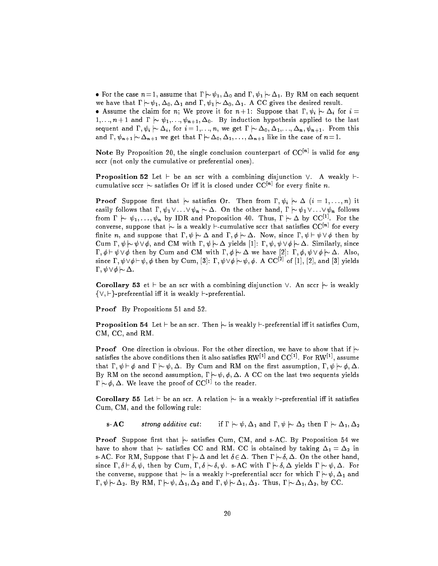For the case n= 1, assume that j 1; 0 and ; 1 j1. By RM on each sequent we have the that  $j$  is  $j=0$ ;  $-1$  and  $-1$   $j=0$ ;  $-1$ . And  $-1$  and desired results.

• Assume the claim for n; We prove it for  $n+1$ : Suppose that  $\Gamma, \psi_i \sim \Delta_i$  for  $i =$  $1,\ldots,n+1$  and  $\Gamma \sim \psi_1,\ldots,\psi_{n+1},\Delta_0$ . By induction hypothesis applied to the last sequent and  $\Gamma$ ,  $\psi_i \sim \Delta_i$ , for  $i = 1,...,n$ , we get  $\Gamma \sim \Delta_0, \Delta_1,..., \Delta_n, \psi_{n+1}$ . From this and  $\Gamma$ ,  $\psi_{n+1} \sim \Delta_{n+1}$  we get that  $\Gamma \sim \Delta_0$ ,  $\Delta_1$ , ...,  $\Delta_{n+1}$  like in the case of  $n=1$ .

**Note** by Proposition 20, the single conclusion counterpart of CC<sup>n-1</sup> is valid for *any* sccr (not only the cumulative or preferential ones).

**Proposition 52** Let  $\vdash$  be an scr with a combining disjunction  $\vee$ . A weakly  $\vdash$ cumulative sccr  $\sim$  satisfies Or iff it is closed under CCC for every finite n.

**Proof** Suppose first that  $\sim$  satisfies Or. Then from  $\Gamma, \psi_i \sim \Delta$   $(i = 1, ..., n)$  it easily follows that  $\mathcal{L}_{1}$  ,  $\mathcal{L}_{2}$  ,  $\mathcal{L}_{3}$  ,  $\mathcal{L}_{4}$  ,  $\mathcal{L}_{5}$  ,  $\mathcal{L}_{7}$  ,  $\mathcal{L}_{8}$  ,  $\mathcal{L}_{1}$  ,  $\mathcal{L}_{2}$  ,  $\mathcal{L}_{3}$  ,  $\mathcal{L}_{4}$  ,  $\mathcal{L}_{5}$  ,  $\mathcal{L}_{7}$  ,  $\mathcal{L}_{8}$  ,  $\mathcal{L}_{9}$  ,  $\mathcal{L$ from  $1 \sim \psi_1, \ldots, \psi_n$  by IDR and Proposition 40. Thus, I  $\sim$   $\Delta$  by CC[1]. For the converse, suppose that  $\sim$  is a weakly --cumulative sccr that satisfies  $\circ\circ\cdots$  for every finite n, and suppose that  $\Gamma$ ,  $\psi \sim \Delta$  and  $\Gamma$ ,  $\phi \sim \Delta$ . Now, since  $\Gamma$ ,  $\psi \vdash \psi \lor \phi$  then by Cum  $\Gamma$ ,  $\psi \sim \psi \lor \phi$ , and CM with  $\Gamma$ ,  $\psi \sim \Delta$  yields [1]:  $\Gamma$ ,  $\psi$ ,  $\psi \lor \phi \sim \Delta$ . Similarly, since  $\Gamma, \phi \vdash \psi \lor \phi$  then by Cum and CM with  $\Gamma, \phi \hspace{0.2em}\sim\hspace{-0.9em}\mid\hspace{0.58em} \Delta$  we have [2]:  $\Gamma, \phi, \psi \lor \phi \hspace{0.2em}\sim\hspace{-0.9em}\mid\hspace{0.58em} \Delta$ . Also, since  $\Gamma$ ,  $\psi \lor \phi \vdash \psi$ ,  $\phi$  then by Cum, [3]:  $\Gamma$ ,  $\psi \lor \phi \mid \sim \psi$ ,  $\phi$ . A CC<sup>[2]</sup> of [1], [2], and [3] yields  $\Gamma$ ,  $\psi \vee \phi \sim \Delta$ .

**Corollary 53** et  $\vdash$  be an scr with a combining disjunction  $\vee$ . An sccr  $\mid\sim$  is weakly  $\{\vee, \vdash\}$ -preferential iff it is weakly  $\vdash$ -preferential.

Proof By Propositions 51 and 52.

**Proposition 54** Let  $\vdash$  be an scr. Then  $\sim$  is weakly  $\vdash$ -preferential iff it satisfies Cum, CM, CC, and RM.

**Proof** One direction is obvious. For the other direction, we have to show that if  $\sim$ satisfies the above conditions then it also satisfies  $RW<sup>[1]</sup>$  and  $CC<sup>[1]</sup>$ . For  $RW<sup>[1]</sup>$ , assume that  $\Gamma$ ,  $\psi \vdash \phi$  and  $\Gamma \vdash \psi$ ,  $\Delta$ . By Cum and RM on the first assumption,  $\Gamma$ ,  $\psi \vdash \phi$ ,  $\Delta$ . By RM on the second assumption,  $\Gamma \sim \psi$ ,  $\phi$ ,  $\Delta$ . A CC on the last two sequents yields  $\Gamma \sim \phi$ ,  $\Delta$ . We leave the proof of CC<sup>[1]</sup> to the reader.

**Corollary 55** Let  $\vdash$  be an scr. A relation  $\sim$  is a weakly  $\vdash$ -preferential iff it satisfies Cum, CM, and the following rule:

 $s-AC$  strong additive cut: if  $\Gamma \sim \psi$ ,  $\Delta_1$  and  $\Gamma, \psi \sim \Delta_2$  then  $\Gamma \sim \Delta_1, \Delta_2$ 

**Proof** Suppose first that  $\sim$  satisfies Cum, CM, and s-AC. By Proposition 54 we have to show that j satises CC and RM. CC is obtained by taking 1 = 2 in s-AC. For RM, Suppose that  $\Gamma \sim \Delta$  and let  $\delta \in \Delta$ . Then  $\Gamma \sim \delta$ ,  $\Delta$ . On the other hand, since  $\Gamma$ ,  $\delta \vdash \delta$ ,  $\psi$ , then by Cum,  $\Gamma$ ,  $\delta \vdash \delta$ ,  $\psi$ . s-AC with  $\Gamma \vdash \delta$ ,  $\Delta$  yields  $\Gamma \vdash \psi$ ,  $\Delta$ . For the converse, suppose that j is a weakly `-preferential sccr for which j ; 1 and ; j2. By RM, in the property in the set of  $j$  and  $j$  and  $j$  and  $j$  and  $j$  and  $j$  by  $\mathcal{C}$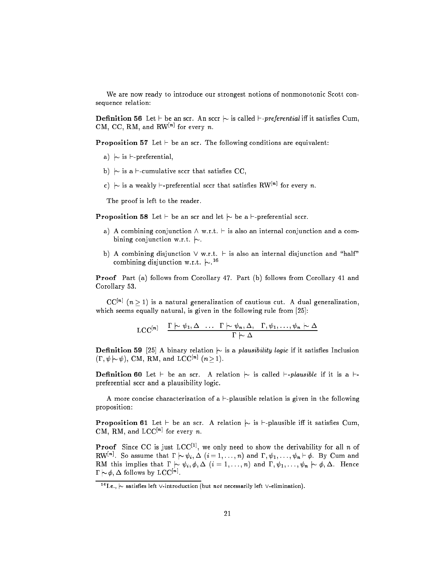We are now ready to introduce our strongest notions of nonmonotonic Scott consequence relation:

**Definition 56** Let  $\vdash$  be an scr. An sccr  $\sim$  is called  $\vdash$ -preferential iff it satisfies Cum, CM, CC, RM, and RW $\sim$  for every n.

**Proposition 57** Let  $\vdash$  be an scr. The following conditions are equivalent:

- a)  $\sim$  is  $\vdash$ -preferential,
- b)  $\sim$  is a  $\vdash$ -cumulative sccr that satisfies CC,
- c)  $\sim$  is a weakly  $\vdash$ -preferential sccr that satisfies RW(in for every n.

The proof is left to the reader.

**Proposition 58** Let  $\vdash$  be an scr and let  $\vdash$  be a  $\vdash$ -preferential sccr.

- a) A combining conjunction  $\wedge$  w.r.t.  $\vdash$  is also an internal conjunction and a combining conjunction w.r.t.  $\sim$ .
- b) A combining disjunction  $\vee$  w.r.t.  $\vdash$  is also an internal disjunction and "half" combining disjunction w.r.t.  $\sim$ ....

Proof Part (a) follows from Corollary 47. Part (b) follows from Corollary 41 and Corollary 53.

CC<sup>(n)</sup> ( $n > 1$ ) is a natural generalization of cautious cut. A qual generalization, which seems equally natural, is given in the following rule from [25]:

$$
\text{LCC}^{[n]} \quad \frac{\Gamma \hspace{0.2em}\sim\hspace{0.2em} \psi_1, \Delta \hspace{0.2em} \ldots \hspace{0.2em} \Gamma \hspace{0.2em}\sim\hspace{0.2em} \psi_n, \Delta, \hspace{0.2em} \Gamma, \psi_1, \ldots, \psi_n \hspace{0.2em}\sim\hspace{0.2em} \Delta}{\Gamma \hspace{0.2em}\sim\hspace{0.2em} \Delta}
$$

**Definition 59** [25] A binary relation  $\sim$  is a plausibility logic if it satisfies Inclusion  $(1, w \sim w)$ , CM, RM, and LCC<sup> $n$ </sup>  $(n \ge 1)$ .

**Definition 60** Let  $\vdash$  be an scr. A relation  $\sim$  is called  $\vdash$ -plausible if it is a  $\vdash$ preferential sccr and a plausibility logic.

A more concise characterization of  $a \vdash$ -plausible relation is given in the following proposition:

**Proposition 61** Let  $\vdash$  be an scr. A relation  $\sim$  is  $\vdash$ -plausible iff it satisfies Cum, CM, KM, and LCC lore every  $n$ .

**Proof** Since CC is just LCC<sup> $\uparrow$ </sup>, we only need to show the derivability for all n of RW<sup> $[n]$ </sup>. So assume that  $1 \sim \psi_i$ ,  $\Delta$   $(i = 1, \ldots, n)$  and  $1, \psi_1, \ldots, \psi_n \vdash \phi$ . By Cum and RM this implies that  $\Gamma \hspace{0.2em}\sim\hspace{0.2em} \mid\hspace{0.2em} \psi_i, \phi, \Delta \hspace{0.2em} (i = 1, \ldots, n)$  and  $\Gamma, \psi_1, \ldots, \psi_n \hspace{0.2em}\sim\hspace{0.2em} \phi, \Delta$ . Hence  $1 \sim \varphi$ ,  $\Delta$  iollows by LCC $\cdots$ .

The  $\sim$  satisfies left  $\vee$  introduction (but not necessarily left  $\vee$  elimination).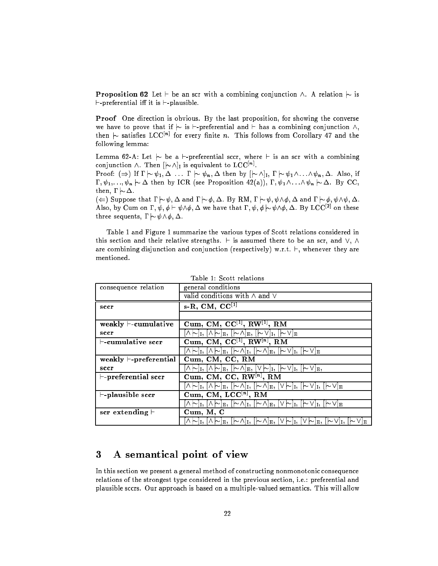**Proposition 62** Let  $\vdash$  be an scr with a combining conjunction  $\land$ . A relation  $\sim$  is  $\vdash$ -preferential iff it is  $\vdash$ -plausible.

Proof One direction is obvious. By the last proposition, for showing the converse we have to prove that if  $\sim$  is  $\vdash$ -preferential and  $\vdash$  has a combining conjunction  $\land$ , then  $\sim$  satisfies LCC<sup>-1</sup> for every finite n. This follows from Corollary 47 and the following lemma:

Lemma 62-A: Let  $\sim$  be a  $\vdash$ -preferential sccr, where  $\vdash$  is an scr with a combining conjunction  $\wedge$ . Then  $\lfloor \sim \wedge \rfloor$  is equivalent to LCC $^{(n)}$ .

Proof: ()) If j 1; : : : j n; then by [j ^] I, j 1^: : :^ n; . Also, if  $\Gamma, \psi_1, \ldots, \psi_n \sim \Delta$  then by ICR (see Proposition 42(a)),  $\Gamma, \psi_1 \wedge \ldots \wedge \psi_n \sim \Delta$ . By CC, then,  $\Gamma \sim \Delta$ .

(() Suppose that j ; and j; . By RM, j ; ^; and j; ^ ; . A iso, by Cum on  $\text{I}$ ,  $\psi$ ,  $\varphi \sqsubset \psi \wedge \varphi$ ,  $\Delta$  we have that  $\text{I}$ ,  $\psi$ ,  $\varphi \sim \psi \wedge \varphi$ ,  $\Delta$ . By LCC<sup>--</sup> on these three sequents,  $\Gamma \sim \psi \wedge \phi$ ,  $\Delta$ .

Table 1 and Figure 1 summarize the various types of Scott relations considered in this section and their relative strengths.  $\vdash$  is assumed there to be an scr, and  $\vee$ ,  $\wedge$ are combining disjunction and conjunction (respectively) w.r.t.  $\vdash$ , whenever they are mentioned.

| consequence relation          | general conditions                                                                                                                                                                                                                                                                                                                 |
|-------------------------------|------------------------------------------------------------------------------------------------------------------------------------------------------------------------------------------------------------------------------------------------------------------------------------------------------------------------------------|
|                               | valid conditions with $\wedge$ and $\vee$                                                                                                                                                                                                                                                                                          |
| sccr                          | $s\text{-}\overline{\text{R, CM, CC}}^{[1]}$                                                                                                                                                                                                                                                                                       |
|                               |                                                                                                                                                                                                                                                                                                                                    |
| weakly $\vdash$ -cumulative   | $\text{Cum, CM, CC}^{[1]}, \text{RW}^{[1]}, \text{RM}$                                                                                                                                                                                                                                                                             |
| sccr                          | $[\wedge \hspace{0.2em}\sim]_{\rm I},\ [\wedge \hspace{0.2em}\sim]_{\rm E},\ [\hspace{0.2em}\sim\hspace{0.2em}\wedge\hspace{0.2em}]_{\rm E},\ [\hspace{0.2em}\sim\hspace{0.2em}\vee\hspace{0.2em}]_{\rm I},\ [\hspace{0.2em}\sim\hspace{0.2em}\vee\hspace{0.2em}]_{\rm E}$                                                         |
| $\vdash$ -cumulative sccr     | Cum, CM, CC <sup>[1]</sup> , RW <sup>[n]</sup> , RM                                                                                                                                                                                                                                                                                |
|                               | $[\wedge \hspace{0.2em}\sim\hspace{-0.2em}\mid_{\,\,\, I},\ [\wedge \hspace{0.2em}\sim\hspace{-0.2em}\mid_{\,\,\, E},\ [\wedge \wedge]_{\rm I},\ [\wedge \wedge]_{\rm E},\ [\wedge \vee]_{\rm I},\ [\wedge \vee]_{\rm E}$                                                                                                          |
|                               |                                                                                                                                                                                                                                                                                                                                    |
| weakly $\vdash$ -preferential | Cum, CM, CC, RM                                                                                                                                                                                                                                                                                                                    |
| sccr                          | $[\wedge \hspace{0.2em}\sim]_{\rm I},\ [\wedge \hspace{0.2em}\sim]_{\rm E},\ [\hspace{0.2em}\sim\hspace{-0.2em}\wedge\hspace{0.2em}]_{\rm E},\ [\vee \hspace{0.2em}\sim\hspace{-0.2em}\mid_{\rm I},\ [\hspace{0.2em}\sim\hspace{0.2em}\vee\hspace{0.2em}]_{\rm I},\ [\hspace{0.2em}\sim\hspace{0.2em}\vee\hspace{0.2em}]_{\rm E},$ |
| $\vdash$ -preferential sccr   | $\textbf{Cum}, \textbf{ CM}, \textbf{ CC}, \textbf{RW}^{[n]}, \textbf{RM}$                                                                                                                                                                                                                                                         |
|                               | $[\wedge \hspace{0.2em}\sim\hspace{-0.2em}],\ [\wedge \hspace{0.2em}\sim\hspace{-0.2em}\mid\hspace{0.2em} \cdot \:\: [( \vee \wedge )_{\mathbb{E}},\ [\vee \wedge ]_{\mathbb{E}},\ [\vee \hspace{0.2em}\sim\hspace{-0.2em}],\ [\wedge \vee ]_{\mathbb{I}},\ [\wedge \vee ]_{\mathbb{E}}$                                           |
| $\vdash$ -plausible sccr      | $Cum, CM, LCC^{[n]}, RM$                                                                                                                                                                                                                                                                                                           |
|                               | $[\wedge \hspace{0.2em}\sim\hspace{-0.2em}],\ [\wedge \hspace{0.2em}\sim\hspace{-0.2em}\mid\hspace{0.2em} \cdot \:\: [( \vee \wedge )_{\mathbb{E}},\ [\vee \wedge ]_{\mathbb{E}},\ [\vee \hspace{0.2em}\sim\hspace{-0.2em}],\ [\wedge \vee ]_{\mathbb{I}},\ [\wedge \vee ]_{\mathbb{E}}$                                           |
| scr extending $\vdash$        | Cum, M, C                                                                                                                                                                                                                                                                                                                          |

Table 1: Scott relations

#### A semantical point of view 3

In this section we present a general method of constructing nonmonotonic consequence relations of the strongest type considered in the previous section, i.e.: preferential and plausible sccrs. Our approach is based on a multiple-valued semantics. This will allow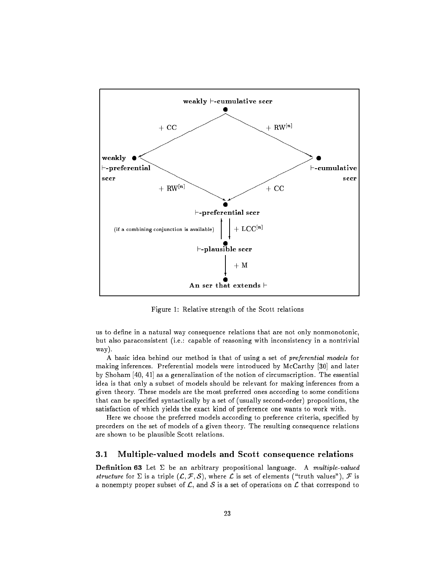

Figure 1: Relative strength of the Scott relations

us to define in a natural way consequence relations that are not only nonmonotonic, but also paraconsistent (i.e.: capable of reasoning with inconsistency in a nontrivial way).

A basic idea behind our method is that of using a set of preferential models for making inferences. Preferential models were introduced by McCarthy [30] and later by Shoham [40, 41] as a generalization of the notion of circumscription. The essential idea is that only a subset of models should be relevant for making inferences from a given theory. These models are the most preferred ones according to some conditions that can be specied syntactically by a set of (usually second-order) propositions, the satisfaction of which yields the exact kind of preference one wants to work with.

Here we choose the preferred models according to preference criteria, specified by preorders on the set of models of a given theory. The resulting consequence relations are shown to be plausible Scott relations.

#### 3.1 Multiple-valued models and Scott consequence relations  $3.1$

**Definition 63** Let  $\Sigma$  be an arbitrary propositional language. A multiple-valued structure for  $\Sigma$  is a triple  $(\mathcal{L}, \mathcal{F}, \mathcal{S})$ , where  $\mathcal L$  is set of elements ("truth values"),  $\mathcal F$  is a nonempty proper subset of  $\mathcal{L}$ , and  $\mathcal{S}$  is a set of operations on  $\mathcal{L}$  that correspond to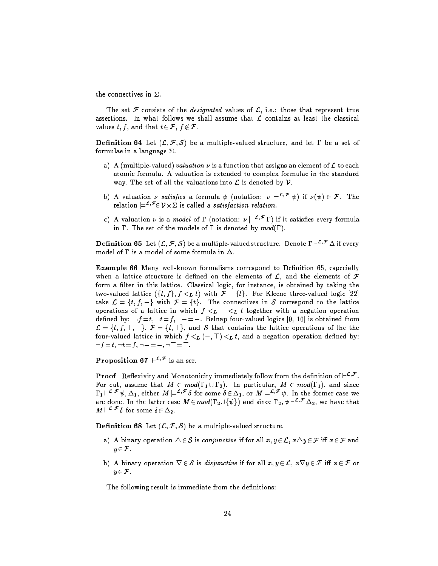the connectives in  $\Sigma$ .

The set F consists of the *designated* values of  $\mathcal{L}$ , i.e.: those that represent true assertions. In what follows we shall assume that  $\mathcal L$  contains at least the classical values t, f, and that  $t \in \mathcal{F}$ ,  $f \notin \mathcal{F}$ .

**Definition 64** Let  $(L, \mathcal{F}, \mathcal{S})$  be a multiple-valued structure, and let  $\Gamma$  be a set of formulae in a language  $\Sigma$ .

- a) A (multiple-valued) valuation  $\nu$  is a function that assigns an element of  $\mathcal L$  to each atomic formula. A valuation is extended to complex formulae in the standard way. The set of all the valuations into  $\mathcal L$  is denoted by  $\mathcal V$ .
- b) A valuation  $\nu$  satisfies a formula  $\psi$  (notation:  $\nu \models \neg$   $\nu$ ) if  $\nu(\psi) \in \mathcal{F}$ . The relation  $\equiv$   $\rightarrow$   $\in$   $V \times \Delta$  is called a satisfaction relation.
- c) A valuation  $\nu$  is a model of I (notation:  $\nu \models^{-,-} 1$  ) if it satisfies every formula in  $\Gamma$ . The set of the models of  $\Gamma$  is denoted by  $mod(\Gamma)$ .

**Definition 65** Let  $(L, \mathcal{F}, \mathcal{S})$  be a multiple-valued structure. Denote  $\Gamma \vdash^{L, \mathcal{F}} \Delta$  if every model of  $\Gamma$  is a model of some formula in  $\Delta$ .

**Example 66** Many well-known formalisms correspond to Definition 65, especially when a lattice structure is defined on the elements of  $\mathcal{L}$ , and the elements of  $\mathcal F$ form a filter in this lattice. Classical logic, for instance, is obtained by taking the two-valued lattice  $(\{t, f\}, f \leq_L t)$  with  $\mathcal{F} = \{t\}$ . For Kleene three-valued logic [22] take  $\mathcal{L} = \{t, f, -\}$  with  $\mathcal{F} = \{t\}$ . The connectives in S correspond to the lattice operations of a lattice in which  $f \leq_L - \leq_L t$  together with a negation operation defined by:  $\neg f = t$ ,  $\neg t = f$ ,  $\neg$  = -. Belnap four-valued logics [9, 10] is obtained from  $\mathcal{L} = \{t, f, \top, -\}, \mathcal{F} = \{t, \top\},\$  and S that contains the lattice operations of the the four-valued lattice in which  $f \leq_L (-, \top) \leq_L t$ , and a negation operation defined by:  $\neg f = t, \neg t = f, \neg - = -, \neg T = T.$ 

**Proposition 67**  $\Gamma$  <sup>-17</sup> is an scr.

Proof reflexivity and Monotonicity immediately follow from the definition of  $\vdash^{\sim}$  . For call assume that M 2 mod(1  $\geq$   $\{1\}$  and  $\{1\}$  models in particularly and  $\leq$  mod(1), and since  $1 \;1 \; \text{F}^{-1} \cdot \text{W}, \Delta_1,$  either  $M \models \neg \cdot \text{W}$  for some  $\delta \in \Delta_1,$  or  $M \models \neg \cdot \text{W}$ . In the former case we are done. In the latter case  $M \in mod(\Gamma_2 \cup \{\psi\})$  and since  $\Gamma_2$ ,  $\psi \vdash^{\mathcal{L},\mathcal{F}} \Delta_2$ , we have that  $M \vdash \neg Y$  o for some  $0 \in \Delta_2$ .

**Definition 68** Let  $(L, \mathcal{F}, \mathcal{S})$  be a multiple-valued structure.

- a) A binary operation  $\Delta \in \mathcal{S}$  is conjunctive if for all  $x, y \in \mathcal{L}$ ,  $x \Delta y \in \mathcal{F}$  iff  $x \in \mathcal{F}$  and  $y \in \mathcal{F}$ .
- b) A binary operation  $\nabla \in \mathcal{S}$  is disjunctive if for all  $x, y \in \mathcal{L}$ ,  $x \nabla y \in \mathcal{F}$  iff  $x \in \mathcal{F}$  or  $y \in \mathcal{F}$ .

The following result is immediate from the definitions: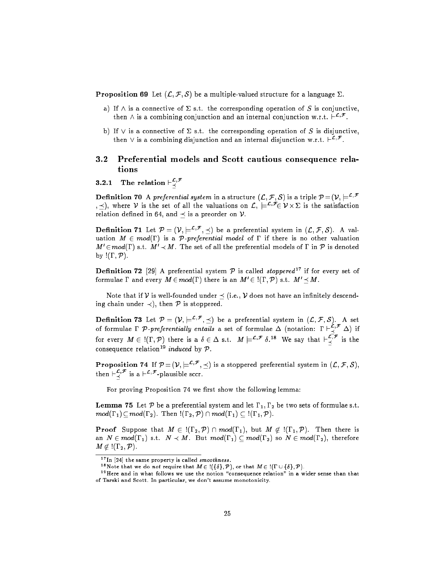**Proposition 69** Let  $(L, \mathcal{F}, \mathcal{S})$  be a multiple-valued structure for a language  $\Sigma$ .

- a) If  $\wedge$  is a connective of  $\Sigma$  s.t. the corresponding operation of S is conjunctive, then  $\wedge$  is a combining conjunction and an internal conjunction w.r.t.  $\vdash^{-\vee}$  .
- b) If  $\vee$  is a connective of  $\Sigma$  s.t. the corresponding operation of S is disjunctive,  $\frac{1}{2}$  is a combining disjunction and an internal disjunction w.r.t.  $\Gamma^{-1}$  .

## 3.2 Preferential models and Scott cautious consequence relations

3.2.1 The relation  $\vdash \downarrow$ 

**Definition 70** A preferential system in a structure  $(L, \mathcal{F}, \mathcal{S})$  is a triple  $\mathcal{P} = (\mathcal{V}, \models^{\mathcal{L}, \mathcal{F}})$ ,  $\prec$ ), where  $\nu$  is the set of all the valuations on  $L$ ,  $\equiv$   $\bar{\ }$   $\vdash$   $\in$   $\nu$   $\times$   $\vartriangle$  is the satisfaction relation defined in 64, and  $\preceq$  is a preorder on  $\mathcal V$ .

**Definition** (1 Let  $P = (V, \sqsubsetcurlyeq r, \preceq)$  be a preferential system in  $(L, \mathcal{F}, \mathcal{S})$ . A valuation  $M \in mod(\Gamma)$  is a P-preferential model of  $\Gamma$  if there is no other valuation  $m \in \mathit{mod}(1+s,t)$  in  $1 \prec m$  . The set of all the preferential models of  $1$  in  $P$  is denoted by  $!(\Gamma, \mathcal{P}).$ 

**Definition 72** [29] A preferential system  $P$  is called *stoppered*<sup>17</sup> if for every set of formulae I and every  $M \in mod(1)$  there is an  $M_0 \in \{0,1,2\}$  . Model  $M_1 \preceq M$  .

Note that if  $V$  is well-founded under  $\prec$  (i.e.,  $V$  does not have an infinitely descending chain under  $\prec$ ), then  $P$  is stoppered.

**Definition 73** Let  $P = |V| = |V|$ ,  $\leq$  1 de a preferential system in  $(L, \mathcal{F}, \mathcal{S})$ . A set of formulae 1 *P-preferentially entails* a set of formulae  $\Delta$  (notation:  $\Gamma \vdash \negthinspace \negthinspace \negthinspace \negthinspace \negthinspace \negthinspace 2)$  if for every  $M \in \{(1\,,\mathcal{P})$  there is a  $\delta \in \Delta$  s.t.  $M \models ``\delta \cdot ``$  We say that  $\vdash \preccurlyeq ^{\sim}$  is the consequence relation<sup>19</sup> induced by  $P$ .

**Proposition 74** If  $P = (V, \sqsubsetcurlyeq^{\sim} \neg, \preceq)$  is a stoppered preferential system in  $(L, \mathcal{F}, \mathcal{S})$ , then  $\vdash \downarrow'$  is a  $\vdash^{\infty,*}$  -plausible sccr.

For proving Proposition 74 we first show the following lemma:

Lemma 75 Let <sup>P</sup> be a preferential system and let 1; 2 be two sets of formulae s.t.  $mod(\Gamma_1) \subset mod(\Gamma_2)$ . Then  $!(\Gamma_2, \mathcal{P}) \cap mod(\Gamma_1) \subset !(\Gamma_1, \mathcal{P})$ .

**Proof** Suppose that  $M \in \{(\Gamma_2, \mathcal{P}) \cap \text{mod}(\Gamma_1), \text{ but } M \notin \{(\Gamma_1, \mathcal{P})\}$ . Then there is an  $N \in mod(\Gamma_1)$  s.t.  $N \prec M$ . But  $mod(\Gamma_1) \subseteq mod(\Gamma_2)$  so  $N \in mod(\Gamma_2)$ , therefore  $M \notin \{(\Gamma_2, \mathcal{P})\}.$ 

 $-$  1n  $\left[24\right]$  the same property is called *smoothness* .

<sup>&</sup>lt;sup>18</sup>Note that we do not require that  $M \in \{(\{\delta\}, \mathcal{P})\}$ , or that  $M \in \{(\Gamma \cup \{\delta\}, \mathcal{P})\}$ .

 $19$  Here and in what follows we use the notion "consequence relation" in a wider sense than that of Tarski and Scott. In particular, we don't assume monotonicity.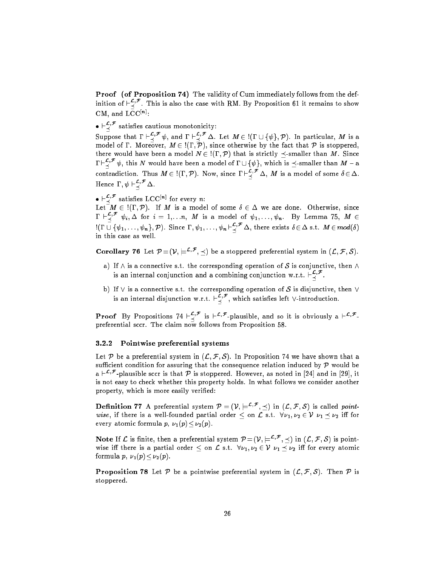Proof (of Proposition 74) The validity of Cum immediately follows from the definition of ` L;F . This is also the case with RM. By Proposition 61 it remains to show <code>CM, and LCC</code>  $\cdots$ 

 $\bullet$   $\vdash \preccurlyeq ^{\sim}$  satisfies cautious monotonicity:

Suppose that  $\Gamma \vdash \preceq^{\mathsf{r}} \psi$ , and  $\Gamma \vdash \preceq^{\mathsf{r}} \Delta$ . Let  $M \in \{(\Gamma \cup \{\psi\}, P)$ . In particular, M is a model of . Moreover, <sup>M</sup> <sup>2</sup> !(; P), since otherwise by the fact that <sup>P</sup> is stoppered, there would have been a model  $N \in \{(\Gamma, \mathcal{P})\}$  that is strictly  $\preceq$ -smaller than M. Since  $1 \vdash \to \cdots \psi,$  this N would have been a model of  $1 \cup \{\psi\},$  which is  $\preceq$ -smaller than  $M$  – a contradiction. Thus  $M \in \{(\Gamma, \mathcal{P})\}$ . Now, since  $\Gamma \vdash_{\prec}^{\neg \vee} \Delta$ , M is a model of some  $\delta \in \Delta$ . Hence  $1, \psi \vdash \neg \neg$   $\Delta$ .

 $\bullet$   $\vdash$   $\prec$  satisfies LCC<sup>[n]</sup> for every n:

Let <sup>M</sup> <sup>2</sup> !(; P). If <sup>M</sup> is a model of some <sup>2</sup> we are done. Otherwise, since If  $\vdash \negthinspace \exists$   $\negthinspace ^\frown \psi_i, \Delta$  for  $i=1,\dots n, \ M$  is a model of  $\psi_1,\dots,\psi_n.$  By Lemma 75,  $M \in$  $\mathbb{I}(\Gamma \cup \{\psi_1,\ldots,\psi_n\},\mathcal{P}).$  Since  $1',\psi_1,\ldots,\psi_n \vdash \preceq^{\mathcal{P}} \Delta,$  there exists  $\delta \in \Delta$  s.t.  $M \in mod(\delta)$ in this case as well.

Corollary 76 Let  $P = |V| = \top$ ,  $\preceq$ ) be a stoppered preferential system in (L, F, S).

- a) If  $\wedge$  is a connective s.t. the corresponding operation of  $S$  is conjunctive, then  $\wedge$ is an internal conjunction and a combining conjunction  $\text{w.r.t.} \vdash \supsetneq^r$  .
- b) If  $\vee$  is a connective s.t. the corresponding operation of S is disjunctive, then  $\vee$ is an internal disjunction w.r.t.  $\vdash \negthinspace \prec \negthinspace '$  , which satishes left  $\vee$ -introduction.

**Proof** By Propositions  $(4 \rvert \rvert \rvert)^2$  is  $\lvert \rvert \rvert$  -plausible, and so it is obviously a  $\lvert \rvert \rvert \rvert$ . preferential sccr. The claim now follows from Proposition 58.

## 3.2.2 Pointwise preferential systems

Let P be a preferential system in  $(\mathcal{L}, \mathcal{F}, \mathcal{S})$ . In Proposition 74 we have shown that a sufficient condition for assuring that the consequence relation induced by  $P$  would be a  $\sqsubset$  - plausible sccr is that  $P$  is stoppered. However, as noted in [24] and in [29], it is not easy to check whether this property holds. In what follows we consider another property, which is more easily verified:

**Definition** *II* A preferential system  $P = (V, \sqsubseteq^*)$ ,  $\land$  In  $(L, F, S)$  is called pointwise, is a well-founded particle particles. The set of L s.t.  $\mathcal{S}_1$  is  $\mathcal{S}_2$  in L s.t. 81; 2 ii for  $\mathcal{S}_3$  in the set every atomic formula  $p, \nu_1(p) \leq \nu_2(p)$ .

**Note if L** is finite, then a preferential system  $P = (V, \sqmodels^{T_{i^*}}, \preceq)$  in  $(L, F, \delta)$  is pointwise in the there is a particle order order  $\alpha$  atomic  $\alpha$  is a  $\alpha$   $\alpha$   $\beta$  in the set of every atomic order formula p,  $\nu_1(p) \leq \nu_2(p)$ .

**Proposition 78** Let  $P$  be a pointwise preferential system in  $(L, \mathcal{F}, \mathcal{S})$ . Then  $P$  is stoppered.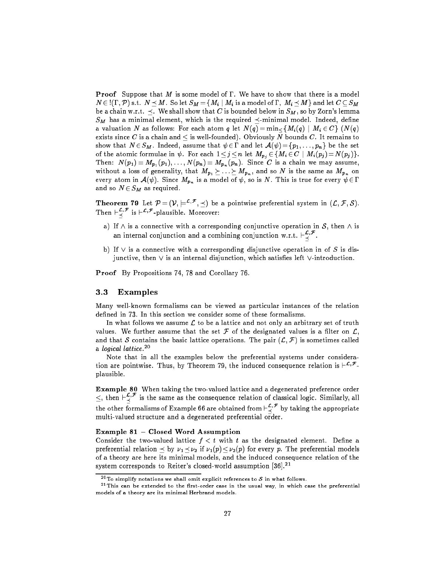**Proof** Suppose that  $M$  is some model of  $\Gamma$ . We have to show that there is a model  $N \in \{(\Gamma, \mathcal{P})\}$  s.t.  $N \leq M$ . So let  $S_M = \{M_i \mid M_i \text{ is a model of } \Gamma, M_i \leq M\}$  and let  $C \subseteq S_M$ be a chain w.r.t.  $\leq$ . We shall show that C is bounded below in  $S_M$ , so by Zorn's lemma  $S_M$  has a minimal element, which is the required  $\preceq$ -minimal model. Indeed, define a valuation N as follows: For each atom q let  $N(q) = \min_{\{M_i(q)\}} | M_i \in C\}$   $(N(q)$ exists since C is a chain and  $\leq$  is well-founded). Obviously N bounds C. It remains to show that  $N \in S_M$ . Indeed, assume that  $\psi \in \Gamma$  and let  $\mathcal{A}(\psi) = \{p_1, \ldots, p_n\}$  be the set of the atomic formulae in  $\psi$ . For each  $1\leq j\leq n$  let  $M_{p_j}\in \{M_i\in C\mid M_i(p_j)=N(p_j)\}.$ Then:  $N(p_1) = M_{p_1}(p_1), \ldots, N(p_n) = M_{p_n}(p_n)$ . Since C is a chain we may assume, without a loss of generality, that  $M_{p_1} \succeq \ldots \succeq M_{p_n}$ , and so N is the same as  $M_{p_n}$  on every atom in  $\mathcal{A}(\psi)$ . Since  $M_{p_n}$  is a model of  $\psi$ , so is N. This is true for every  $\psi \in \Gamma$ and so  $N \in S_M$  as required.

**I** neorem 79 Let  $P = |V_1| = |V_2|$ ,  $\leq$  1 de a pointwise preferential system in (L, F, S). Then  $\vdash \neg$  is  $\vdash \neg'$  -plausible. Moreover:

- a) If  $\wedge$  is a connective with a corresponding conjunctive operation in S, then  $\wedge$  is an internal conjunction and a combining conjunction w.r.t.  $\vdash \negthinspace \preccurlyeq ^{\tau}$  .
- b) If  $\vee$  is a connective with a corresponding disjunctive operation in of S is disjunctive, then  $\vee$  is an internal disjunction, which satisfies left  $\vee$ -introduction.

Proof By Propositions 74, 78 and Corollary 76.

#### $3.3$ **Examples**

Many well-known formalisms can be viewed as particular instances of the relation defined in 73. In this section we consider some of these formalisms.

In what follows we assume  $\mathcal L$  to be a lattice and not only an arbitrary set of truth values. We further assume that the set  $\mathcal F$  of the designated values is a filter on  $\mathcal L$ , and that S contains the basic lattice operations. The pair  $(\mathcal{L}, \mathcal{F})$  is sometimes called a logical lattice. 20

Note that in all the examples below the preferential systems under consideration are pointwise. Thus, by Theorem 79, the induced consequence relation is  $\vdash^{-\prime\prime}$  plausible.

Example 80 When taking the two-valued lattice and a degenerated preference order  $\le$ , then  $\vdash \preceq$  is the same as the consequence relation of classical logic. Similarly, all the other formalisms of Example 66 are obtained from ` L;F by taking the appropriate multi-valued structure and a degenerated preferential order.

## Example  $81$  – Closed Word Assumption

Consider the two-valued lattice  $f < t$  with t as the designated element. Define a preferential relation  $\mathcal{L}$  if  $\mathcal{L}$  if  $\mathcal{L}$  if  $\mathcal{L}$  if  $\mathcal{L}$  if  $\mathcal{L}$  if  $\mathcal{L}$  if  $\mathcal{L}$  if  $\mathcal{L}$  if  $\mathcal{L}$  if  $\mathcal{L}$  if  $\mathcal{L}$  if  $\mathcal{L}$  if  $\mathcal{L}$  if  $\mathcal{L}$  if  $\mathcal{L}$  if  $\mathcal{L}$ of a theory are here its minimal models, and the induced consequence relation of the system corresponds to Reiter's closed-world assumption  $[36]$ <sup>21</sup>

<sup>&</sup>lt;sup>20</sup>To simplify notations we shall omit explicit references to  $S$  in what follows.

<sup>&</sup>lt;sup>21</sup> This can be extended to the first-order case in the usual way, in which case the preferential models of a theory are its minimal Herbrand models.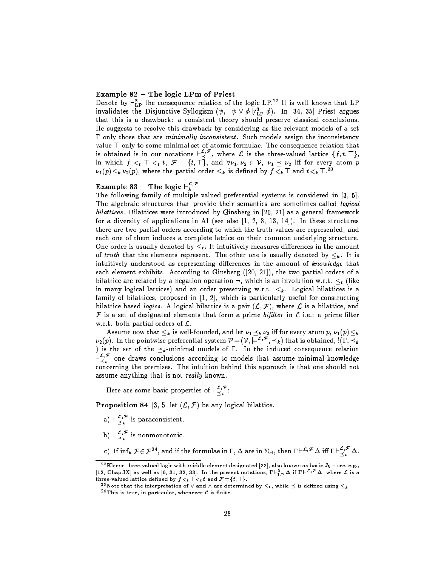## Example  $82$  - The logic LPm of Priest

Denote by  $\vdash_{\mathrm{LP}}^{\mathrm{z}}$  the consequence relation of the logic LP. The is well known that LP invalidates the Disjunctive Syllogism  $(\psi, \neg \psi \lor \phi \not\vdash_{\mathrm{LP}}^3 \phi).$  In  $[34,\ 35]$  Priest argues that this is a drawback: a consistent theory should preserve classical conclusions. He suggests to resolve this drawback by considering as the relevant models of a set  $\Gamma$  only those that are *minimally inconsistent*. Such models assign the inconsistency value  $\top$  only to some minimal set of atomic formulae. The consequence relation that is obtained is in our notations  $\vdash \preceq'$  , where  $L$  is the three-valued lattice  $\{f, t, \top \} ,$ in which fixed  $f$  ,  $f$  and  $f$  is the function  $f$  for every atom process  $f$  and  $f$  $\nu_1(p) \smallsetminus_k \nu_2(p),$  where the partial order  $\smallsetminus_k$  is defined by  $j \smallsetminus_k$  is and  $\iota \smallsetminus_k$  i. The

### Example 83 – The logic  $\vdash_k$  is

The following family of multiple-valued preferential systems is considered in [3, 5]. The algebraic structures that provide their semantics are sometimes called *logical* bilattices. Bilattices were introduced by Ginsberg in [20, 21] as a general framework for a diversity of applications in AI (see also  $[1, 2, 8, 13, 14]$ ). In these structures there are two partial orders according to which the truth values are represented, and each one of them induces a complete lattice on their common underlying structure. One order is usually denoted by  $\leq_t$ . It intuitively measures differences in the amount of truth that the elements represent. The other one is usually denoted by  $\leq_k$ . It is intuitively understood as representing differences in the amount of knowledge that each element exhibits. According to Ginsberg ([20, 21]), the two partial orders of a bilattice are related by a negation operation  $\neg$ , which is an involution w.r.t.  $\leq_t$  (like in many logical lattices) and an order preserving w.r.t.  $\leq_k$ . Logical bilattices is a family of bilattices, proposed in [1, 2], which is particularly useful for constructing bilattice-based logics. A logical bilattice is a pair  $(\mathcal{L}, \mathcal{F})$ , where  $\mathcal L$  is a bilattice, and  $\mathcal F$  is a set of designated elements that form a prime bifilter in  $\mathcal L$  i.e.: a prime filter w.r.t. both partial orders of L.

Assume now that k  $\mu$  is well-founded, and let  $1$  k  $2$  if every atom p, 1(p)k  $\mu$  $\nu_2(p)$ . In the pointwise preferential system  $P =$  (  $\nu,$   $\mu^-$  ,  $\prec_k$  ) that is obtained, :(1 ,  $\prec_k$ ) is the set of the  $\preceq_k$ -minimal models of  $\Gamma$ . In the induced consequence relation  $\vdash$   $\supset$  one draws conclusions according to models that assume minimal knowledge ka ka concerning the premises. The intuition behind this approach is that one should not assume anything that is not really known.

Here are some basic properties of  $\vdash \preceq'_k$ :

**Proposition 84** [3, 5] let  $(L, \mathcal{F})$  be any logical bilattice.

a)  $\vdash \supseteq \supseteq$  is paraconsistent.

ka ka

ka ka

- $\mathsf{b}$ )  $\vdash \mathbb{C}$  is nonmonotonic.
- c) If  $\inf_k \mathcal{F} \in \mathcal{F}^{2n}$ , and if the formulae in  $\Gamma, \Delta$  are in  $\Sigma_{\text{cl}}$ , then  $\Gamma \vdash^{2n} \Delta$  and  $\Gamma \vdash^{2n} \Delta$ .

<sup>&</sup>lt;sup>22</sup>Kleene three-valued logic with middle element designated [22], also known as basic  $J_3$  - see, e.g., [12, Unap.IX] as well as  $[6, 31, 32, 33]$ . In the present notations,  $1 \sqsubset_{LP}^2 \Delta$  if  $1 \sqsubset_{CP}^2$   $\Delta$ , where L is a three-valued lattice defined by  $f \lt_t \top \lt_t t$  and  $\mathcal{F} = \{t, \top\}$ .

<sup>&</sup>lt;sup>23</sup>Note that the interpretation of  $\vee$  and  $\wedge$  are determined by  $\leq_t$ , while  $\preceq$  is defined using  $\leq_k$ .

<sup>&</sup>lt;sup>24</sup>This is true, in particular, whenever  $\mathcal L$  is finite.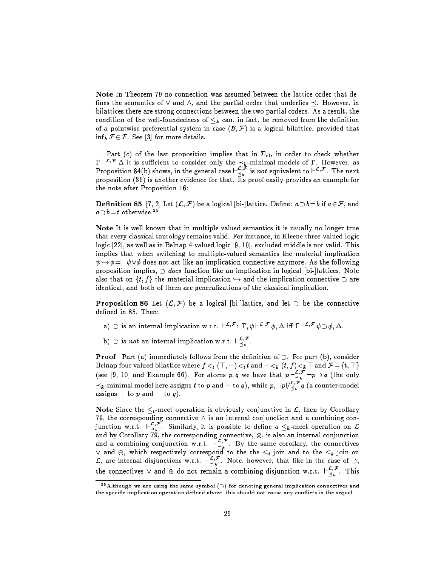Note In Theorem 79 no connection was assumed between the lattice order that de fines the semantics of  $\vee$  and  $\wedge$ , and the partial order that underlies  $\preceq$ . However, in bilattices there are strong connections between the two partial orders. As a result, the condition of the well-foundedness of  $\leq_k$  can, in fact, be removed from the definition of a pointwise preferential system in case  $(\mathcal{B}, \mathcal{F})$  is a logical bilattice, provided that inf k F 2 F. See F. See [3] for more details. In the see for more details. In the see for more details. In the

Part (c) of the last proposition implies that in  $\Sigma_{c1}$ , in order to check whether If  $\Gamma$  it is sufficient to consider only the  $\gamma_k$ -minimal models of 1. However, as Proposition 84(b) shows, in the general case  $\vdash \zeta_k^*$  is not equivalent to  $\vdash^{*,*}$  . The next proposition (86) is another evidence for that. Its proof easily provides an example for the note after Proposition 16:

**Definition 85** [7, 2] Let  $(L, \mathcal{F})$  be a logical [bi-]lattice. Define:  $a \supset b = b$  if  $a \in \mathcal{F}$ , and  $a\supset b=t$  otherwise.<sup>25</sup>

Note It is well known that in multiple-valued semantics it is usually no longer true that every classical tautology remains valid. For instance, in Kleene three-valued logic logic [22], as well as in Belnap 4-valued logic [9, 10], excluded middle is not valid. This implies that when switching to multiple-valued semantics the material implication  $\psi \leftrightarrow \phi = \neg \psi \lor \phi$  does not act like an implication connective anymore. As the following proposition implies,  $\supset$  does function like an implication in logical [bi-]lattices. Note also that on  $\{t, f\}$  the material implication  $\hookrightarrow$  and the implication connective  $\supset$  are identical, and both of them are generalizations of the classical implication.

**Proposition 86** Let  $(L, \mathcal{F})$  be a logical [bi-]lattice, and let  $\supset$  be the connective defined in 85. Then:

- a) is an internal implication w.r.t.  $\vdash \neg \vdash : 1$ ,  $\psi \vdash \neg \vdash \phi$ ,  $\Delta$  in  $1 \vdash \neg \vdash \psi \supset \phi$ ,  $\Delta$ .
- b)  $\supset$  is not an internal implication w.r.t.  $\vdash \biguparrow _{\prec_k}$ .

**Proof** Part (a) immediately follows from the definition of  $\supset$ . For part (b), consider  $B$  similar four valued bilattice where  $f \in \{x, y, z\}$  ,  $\{x, y, z\}$  ,  $\{x, y, y\}$  ,  $\{x, y, z\}$  ,  $\{x, y, z\}$ (see [9, 10] and Example 66). For atoms  $p, q$  we have that  $p \vdash \preceq_k^r \neg p \supset q$  (the only  $\preceq_k$ -minimal model here assigns  $t$  to  $p$  and  $-$  to  $q$ ), while  $p, \neg p \nmid \preceq^*_k q$  (a counter-model assigns  $\top$  to p and  $-$  to q).

Note Since the  $\leq_t$ -meet operation is obviously conjunctive in  $\mathcal{L}$ , then by Corollary 79, the corresponding connective ^ is an internal conjunction and a combining conjunction w.r.t.  $\vdash \zeta^{\prime}_k$  . Similarly, it is possible to define a  $\leq_k$ -meet operation on  $\mathcal L$ , is also and corresponding corresponding connection and internal continuous continuous continuous continuous and a combining conjunction w.r.t.  $\vdash \zeta^*_{k}$ . By the same corollary, the connectives \_ and , which respectively correspond to the the t-join and to the k -join on  $L$ , are internal disjunctions w.r.t.  $\vdash \negthinspace \negthinspace \prec_{k}^{\negthinspace}$ . Note, however, that like in the case of  $\supset$ , the connectives  $\vee$  and  $\oplus$  do not remain a combining disjunction w.r.t.  $\vdash_{\prec_k} \neg$ . This

<sup>&</sup>lt;sup>25</sup> Although we are using the same symbol  $($   $)$  for denoting general implication connectives and the specific implication operation defined above, this should not cause any conflicts in the sequel.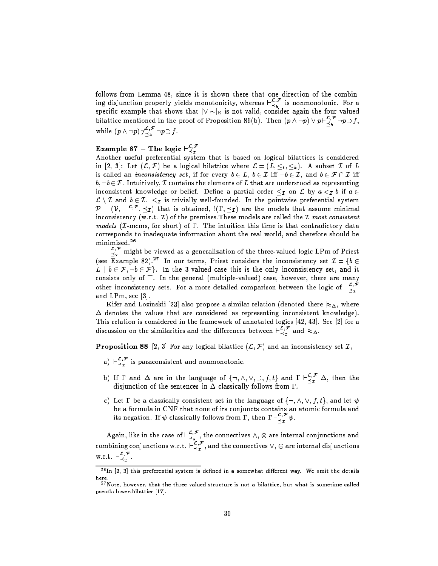follows from Lemma 48, since it is shown there that one direction of the combining disjunction property yields monotonicity, whereas  $\vdash_{\prec_k}^{\prec_k}$  is nonmonotonic. For a species that shows that is not valued, consider a gain that  $\Gamma$  is not valued, consider again the four-valued of  $\Gamma$ bilattice mentioned in the proof of Proposition 86(b). Then  $(p \wedge \neg p) \vee p \vdash \downarrow_k^r \neg p \supset f$ , while  $(p \wedge \neg p) \nabla_{\prec_k} \neg p \supset f$ .

## Example 87 – The logic  $\vdash \downarrow_\mathcal{I}^+$

Another useful preferential system that is based on logical bilattices is considered in [2, 3]: Let  $(\mathcal{L}, \mathcal{F})$  be a logical bilattice where  $\mathcal{L} = (L, \leq_t, \leq_k)$ . A subset  $\mathcal I$  of  $L$ is called an *inconsistency set*, if for every  $b \in L$ ,  $b \in \mathcal{I}$  iff  $\neg b \in \mathcal{I}$ , and  $b \in \mathcal{F} \cap \mathcal{I}$  iff  $b, \neg b \in \mathcal{F}$ . Intuitively, I contains the elements of L that are understood as representing inconsistent knowledge or belief. Define a partial order  $\leq_{\mathcal{I}}$  on  $\mathcal{L}$  by  $a \leq_{\mathcal{I}} b$  if  $a \in$  $\mathcal{L} \setminus \mathcal{I}$  and  $b \in \mathcal{I}$ .  $\leq_{\mathcal{I}}$  is trivially well-founded. In the pointwise preferential system  $P = (V, \sqsubseteq^{n_k}, \preceq_{\mathcal{I}})$  that is obtained,  $((1, \preceq_{\mathcal{I}})$  are the models that assume minimal inconsistency (w.r.t.  $\mathcal{I}$ ) of the premises. These models are called the  $\mathcal{I}-most$  consistent models ( $I$ -mcms, for short) of  $\Gamma$ . The intuition this time is that contradictory data corresponds to inadequate information about the real world, and therefore should be minimized.<sup>26</sup>

 $\mathbb{H}_{\mathcal{I}_{\mathcal{I}}}^{\mathcal{I}}$  might be viewed as a generalization of the three-valued logic LPm of Priest (see Example 82).<sup>27</sup> In our terms, Priest considers the inconsistency set  $\mathcal{I} = \{b \in$  $L \mid b \in \mathcal{F}, \neg b \in \mathcal{F}$ . In the 3-valued case this is the only inconsistency set, and it consists only of  $\top$ . In the general (multiple-valued) case, however, there are many other inconsistency sets. For a more detailed comparison between the logic of  $\vdash \preceq_\tau^\cdot$ and LPm, see [3].

Kifer and Lozinskii [23] also propose a similar relation (denoted there  $\approx_{\Delta}$ , where  $\Delta$  denotes the values that are considered as representing inconsistent knowledge). This relation is considered in the framework of annotated logics [42, 43]. See [2] for a discussion on the similarities and the differences between  $\mathop{\vdash}^{\mathbb{L}}_{\prec_{\mathcal{I}}}$  and  $\bowtie_\Delta.$ 

**Proposition 88** [2, 3] For any logical bilattice  $(L, \mathcal{F})$  and an inconsistency set  $\mathcal{I}$ ,

a)  $\vdash \Box'$  is paraconsistent and nonmonotonic.

I

- b) It I and  $\Delta$  are in the language of  $\{\neg, \wedge, \vee, \supset, f, t\}$  and  $\Gamma \vdash \neg, \neg, \Delta$ , then the disjunction of the sentences in  $\Delta$  classically follows from  $\Gamma$ .
- c) Let  $\Gamma$  be a classically consistent set in the language of  $\{\neg, \wedge, \vee, f, t\}$ , and let  $\psi$ be a formula in CNF that none of its conjuncts contains an atomic formula and its negation. If  $\psi$  classically follows from  $\Gamma,$  then  $\Gamma \vdash_{\prec_\mathcal{I}}^{\prec_\tau} \psi.$

Again, like in the case of  $\vdash \supseteq^*$ , the connectives  $\wedge$ ,  $\otimes$  are internal conjunctions and ka ka combining conjunctions w.r.t.  $\vdash \exists_{\tau}^{\bot}$  , and the connectives  $\lor, \oplus$  are internal disjunctions w.r.t.  $\vdash \zeta^{\prime}_{\tau}$ .

<sup>26</sup> In [2, 3] this preferential system is dened in a somewhat dierent way. We omit the details

 $27$ Note, however, that the three-valued structure is not a bilattice, but what is sometime called pseudo lower-bilattice [17].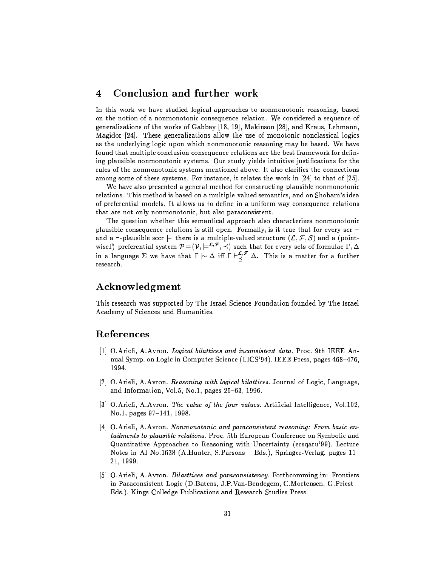#### 4 Conclusion and further work

In this work we have studied logical approaches to nonmonotonic reasoning, based on the notion of a nonmonotonic consequence relation. We considered a sequence of generalizations of the works of Gabbay [18, 19], Makinson [28], and Kraus, Lehmann, Magidor [24]. These generalizations allow the use of monotonic nonclassical logics as the underlying logic upon which nonmonotonic reasoning may be based. We have found that multiple conclusion consequence relations are the best framework for defining plausible nonmonotonic systems. Our study yields intuitive justications for the rules of the nonmonotonic systems mentioned above. It also clarifies the connections among some of these systems. For instance, it relates the work in [24] to that of [25].

We have also presented a general method for constructing plausible nonmonotonic relations. This method is based on a multiple-valued semantics, and on Shoham's idea of preferential models. It allows us to define in a uniform way consequence relations that are not only nonmonotonic, but also paraconsistent.

The question whether this semantical approach also characterizes nonmonotonic plausible consequence relations is still open. Formally, is it true that for every scr  $\vdash$ and a  $\vdash$ -plausible sccr  $\sim$  there is a multiple-valued structure  $(\mathcal{L}, \mathcal{F}, \mathcal{S})$  and a (pointwisel preferential system  $P = (V, \sqsubset \neg)$ ;  $\land$  ) such that for every sets of formulae  $1, \Delta$ in a language  $\Sigma$  we have that  $\Gamma \hspace{0.2em}\sim\hspace{0.2em}\Delta$  iff  $\Gamma \hspace{0.2em}\Vdash\hspace{0.2em} \Gamma$   $\Delta$  . This is a matter for a further research.

# Acknowledgment

This research was supported by The Israel Science Foundation founded by The Israel Academy of Sciences and Humanities.

# References

- [1] O.Arieli, A.Avron. Logical bilattices and inconsistent data. Proc. 9th IEEE Annual Symp. on Logic in Computer Science (LICS'94). IEEE Press, pages 468-476, 1994.
- [2] O.Arieli, A.Avron. Reasoning with logical bilattices. Journal of Logic, Language, and Information, Vol.5, No.1, pages  $25{-}63$ , 1996.
- [3] O.Arieli, A.Avron. The value of the four values. Artificial Intelligence, Vol.102, No.1, pages 97-141, 1998.
- [4] O.Arieli, A.Avron. Nonmonotonic and paraconsistent reasoning: From basic entailments to plausible relations. Proc. 5th European Conference on Symbolic and Quantitative Approaches to Reasoning with Uncertainty (ecsqaru'99). Lecture Notes in AI No.1638 (A.Hunter, S.Parsons - Eds.), Springer-Verlag, pages 11-21, 1999.
- [5] O.Arieli, A.Avron. Bilasttices and paraconsistency. Forthcomming in: Frontiers in Paraconsistent Logic (D.Batens, J.P.Van-Bendegem, C.Mortensen, G.Priest -Eds.). Kings Colledge Publications and Research Studies Press.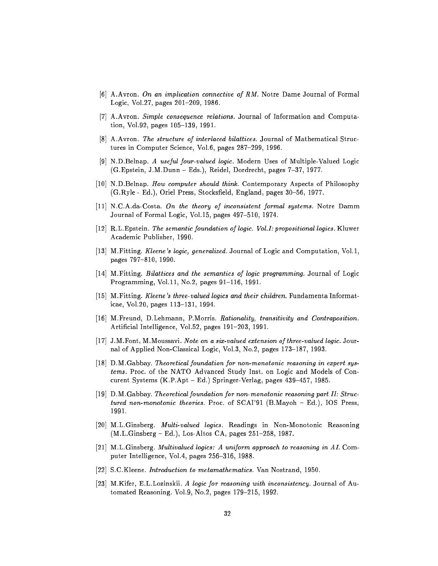- [6] A.Avron. On an implication connective of RM. Notre Dame Journal of Formal Logic, Vol.27, pages 201-209, 1986.
- [7] A.Avron. Simple consequence relations. Journal of Information and Computation, Vol.92, pages 105-139, 1991.
- [8] A.Avron. The structure of interlaced bilattices. Journal of Mathematical Structures in Computer Science, Vol.6, pages 287-299, 1996.
- [9] N.D.Belnap. A useful four-valued logic. Modern Uses of Multiple-Valued Logic (G.Epstein, J.M.Dunn - Eds.), Reidel, Dordrecht, pages 7-37, 1977.
- [10] N.D.Belnap. How computer should think. Contemporary Aspects of Philosophy (G.Ryle - Ed.), Oriel Press, Stocksfield, England, pages 30-56, 1977.
- [11] N.C.A.da-Costa. On the theory of inconsistent formal systems. Notre Damm Journal of Formal Logic, Vol.15, pages  $497-510$ , 1974.
- [12] R.L.Epstein. The semantic foundation of logic. Vol.I: propositional logics. Kluwer Academic Publisher, 1990.
- [13] M.Fitting. Kleene's logic, generalized. Journal of Logic and Computation, Vol.1, pages 797-810, 1990.
- [14] M.Fitting. Bilattices and the semantics of logic programming. Journal of Logic Programming, Vol.11, No.2, pages 91-116, 1991.
- [15] M.Fitting. Kleene's three-valued logics and their children. Fundamenta Informaticae, Vol.20, pages 113-131, 1994.
- [16] M.Freund, D.Lehmann, P.Morris. Rationality, transitivity and Contraposition. Artificial Intelligence, Vol.52, pages 191-203, 1991.
- [17] J.M.Font, M.Moussavi. Note on a six-valued extension of three-valued logic. Journal of Applied Non-Classical Logic, Vol.3, No.2, pages 173-187, 1993.
- [18] D.M.Gabbay. Theoretical foundation for non-monotonic reasoning in expert systems. Proc. of the NATO Advanced Study Inst. on Logic and Models of Concurent Systems  $(K.P.Apt - Ed.)$  Springer-Verlag, pages  $439-457$ , 1985.
- [19] D.M.Gabbay. Theoretical foundation for non-monotonic reasoning part II: Structured non-monotonic theories. Proc. of  $SCAI'91$  (B.Mayoh - Ed.), IOS Press, 1991.
- [20] M.L.Ginsberg. Multi-valued logics. Readings in Non-Monotonic Reasoning (M.L.Ginsberg – Ed.), Los-Altos CA, pages  $251-258$ , 1987.
- [21] M.L.Ginsberg. Multivalued logics: A uniform approach to reasoning in AI. Computer Intelligence, Vol.4, pages 256-316, 1988.
- [22] S.C.Kleene. Introduction to metamathematics. Van Nostrand, 1950.
- [23] M.Kifer, E.L.Lozinskii. A logic for reasoning with inconsistency. Journal of Automated Reasoning. Vol.9, No.2, pages  $179-215$ , 1992.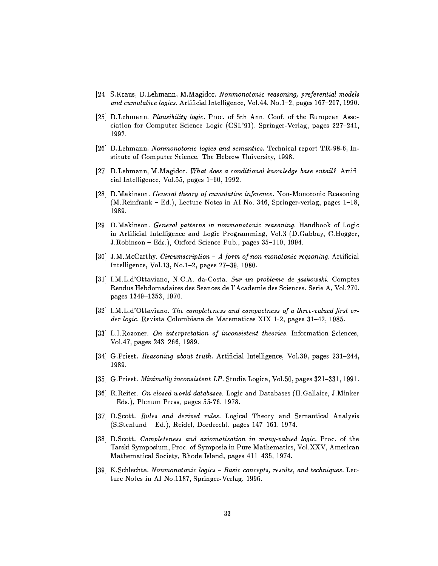- [24] S.Kraus, D.Lehmann, M.Magidor. Nonmonotonic reasoning, preferential models and cumulative logics. Artificial Intelligence, Vol.44, No.1-2, pages 167-207, 1990.
- [25] D.Lehmann. Plausibility logic. Proc. of 5th Ann. Conf. of the European Association for Computer Science Logic (CSL'91). Springer-Verlag, pages 227-241, 1992.
- [26] D.Lehmann. Nonmonotonic logics and semantics. Technical report TR-98-6, Institute of Computer Science, The Hebrew University, 1998.
- [27] D.Lehmann, M.Magidor. What does a conditional knowledge base entail? Artificial Intelligence, Vol.55, pages 1-60, 1992.
- [28] D.Makinson. General theory of cumulative inference. Non-Monotonic Reasoning (M.Reinfrank - Ed.), Lecture Notes in AI No. 346, Springer-verlag, pages 1-18, 1989.
- [29] D.Makinson. General patterns in nonmonotonic reasoning. Handbook of Logic in Articial Intelligence and Logic Programming, Vol.3 (D.Gabbay, C.Hogger, J.Robinson - Eds.), Oxford Science Pub., pages 35-110, 1994.
- $[30]$  J.M.McCarthy. Circumscription A form of non monotonic reqsoning. Artificial Intelligence, Vol.13, No.1-2, pages 27-39, 1980.
- [31] I.M.L.d'Ottaviano, N.C.A. da-Costa. Sur un probleme de jaskowski. Comptes Rendus Hebdomadaires des Seances de I'Academie des Sciences. Serie A, Vol.270, pages 1349-1353, 1970.
- [32] I.M.L.d'Ottaviano. The completeness and compactness of a three-valued first order logic. Revista Colombiana de Matematicas XIX 1-2, pages 31-42, 1985.
- [33] L.I.Rozoner. On interpretation of inconsistent theories. Information Sciences, Vol.47, pages 243-266, 1989.
- [34] G.Priest. Reasoning about truth. Artificial Intelligence, Vol.39, pages  $231-244$ , 1989.
- [35] G.Priest. *Minimally inconsistent LP.* Studia Logica, Vol.50, pages  $321-331$ , 1991.
- [36] R.Reiter. On closed world databases. Logic and Databases (H.Gallaire, J.Minker { Eds.), Plenum Press, pages 55-76, 1978.
- [37] D.Scott. Rules and derived rules. Logical Theory and Semantical Analysis (S.Stenlund - Ed.), Reidel, Dordrecht, pages 147-161, 1974.
- [38] D.Scott. Completeness and axiomatization in many-valued logic. Proc. of the Tarski Symposium, Proc. of Symposia in Pure Mathematics, Vol.XXV, American Mathematical Society, Rhode Island, pages 411-435, 1974.
- [39] K.Schlechta. Nonmonotonic logics Basic concepts, results, and techniques. Lecture Notes in AI No.1187, Springer-Verlag, 1996.